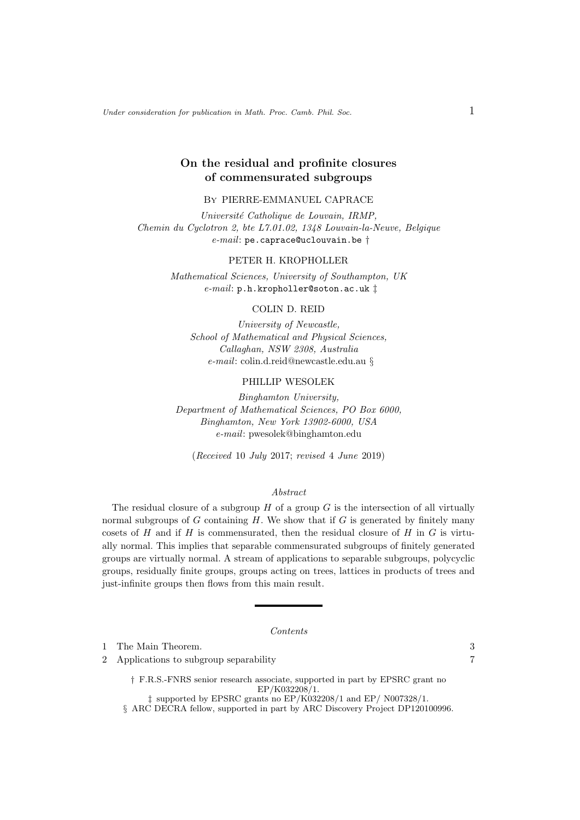Under consideration for publication in Math. Proc. Camb. Phil. Soc.  $1$ 

# On the residual and profinite closures of commensurated subgroups

## By PIERRE-EMMANUEL CAPRACE

Université Catholique de Louvain, IRMP, Chemin du Cyclotron 2, bte L7.01.02, 1348 Louvain-la-Neuve, Belgique  $e$ -mail: pe.caprace@uclouvain.be  $\dagger$ 

## PETER H. KROPHOLLER

Mathematical Sciences, University of Southampton, UK e-mail: p.h.kropholler@soton.ac.uk ‡

## COLIN D. REID

University of Newcastle, School of Mathematical and Physical Sciences, Callaghan, NSW 2308, Australia e-mail: colin.d.reid@newcastle.edu.au §

## PHILLIP WESOLEK

Binghamton University, Department of Mathematical Sciences, PO Box 6000, Binghamton, New York 13902-6000, USA e-mail: pwesolek@binghamton.edu

(Received 10 July 2017; revised 4 June 2019)

## Abstract

The residual closure of a subgroup  $H$  of a group  $G$  is the intersection of all virtually normal subgroups of  $G$  containing  $H$ . We show that if  $G$  is generated by finitely many cosets of  $H$  and if  $H$  is commensurated, then the residual closure of  $H$  in  $G$  is virtually normal. This implies that separable commensurated subgroups of finitely generated groups are virtually normal. A stream of applications to separable subgroups, polycyclic groups, residually finite groups, groups acting on trees, lattices in products of trees and just-infinite groups then flows from this main result.

#### Contents

1 The Main Theorem. 3

2 Applications to subgroup separability 7

† F.R.S.-FNRS senior research associate, supported in part by EPSRC grant no EP/K032208/1.

 $\ddagger$  supported by EPSRC grants no EP/K032208/1 and EP/ N007328/1.

§ ARC DECRA fellow, supported in part by ARC Discovery Project DP120100996.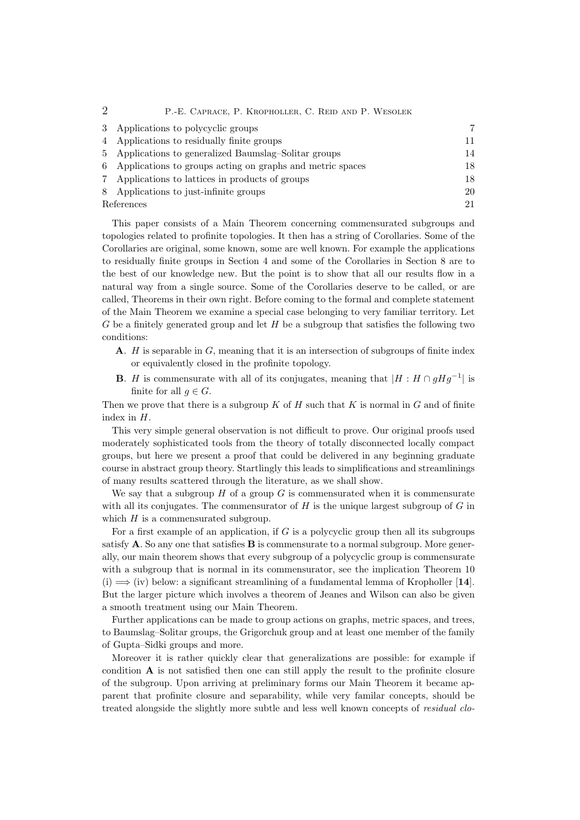| 2             | P.-E. CAPRACE, P. KROPHOLLER, C. REID AND P. WESOLEK      |    |
|---------------|-----------------------------------------------------------|----|
| $\mathcal{S}$ | Applications to polycyclic groups                         | 7  |
|               | 4 Applications to residually finite groups                | 11 |
| 5.            | Applications to generalized Baumslag-Solitar groups       | 14 |
| 6             | Applications to groups acting on graphs and metric spaces | 18 |
| 7             | Applications to lattices in products of groups            | 18 |
| 8             | Applications to just-infinite groups                      | 20 |
| References    |                                                           | 21 |

This paper consists of a Main Theorem concerning commensurated subgroups and topologies related to profinite topologies. It then has a string of Corollaries. Some of the Corollaries are original, some known, some are well known. For example the applications to residually finite groups in Section 4 and some of the Corollaries in Section 8 are to the best of our knowledge new. But the point is to show that all our results flow in a natural way from a single source. Some of the Corollaries deserve to be called, or are called, Theorems in their own right. Before coming to the formal and complete statement of the Main Theorem we examine a special case belonging to very familiar territory. Let  $G$  be a finitely generated group and let  $H$  be a subgroup that satisfies the following two conditions:

- **A.**  $H$  is separable in  $G$ , meaning that it is an intersection of subgroups of finite index or equivalently closed in the profinite topology.
- **B**. H is commensurate with all of its conjugates, meaning that  $|H : H \cap gHg^{-1}|$  is finite for all  $q \in G$ .

Then we prove that there is a subgroup K of H such that K is normal in G and of finite index in H.

This very simple general observation is not difficult to prove. Our original proofs used moderately sophisticated tools from the theory of totally disconnected locally compact groups, but here we present a proof that could be delivered in any beginning graduate course in abstract group theory. Startlingly this leads to simplifications and streamlinings of many results scattered through the literature, as we shall show.

We say that a subgroup  $H$  of a group  $G$  is commensurated when it is commensurate with all its conjugates. The commensurator of  $H$  is the unique largest subgroup of  $G$  in which  $H$  is a commensurated subgroup.

For a first example of an application, if  $G$  is a polycyclic group then all its subgroups satisfy  $A$ . So any one that satisfies  $B$  is commensurate to a normal subgroup. More generally, our main theorem shows that every subgroup of a polycyclic group is commensurate with a subgroup that is normal in its commensurator, see the implication Theorem 10 (i)  $\implies$  (iv) below: a significant streamlining of a fundamental lemma of Kropholler [14]. But the larger picture which involves a theorem of Jeanes and Wilson can also be given a smooth treatment using our Main Theorem.

Further applications can be made to group actions on graphs, metric spaces, and trees, to Baumslag–Solitar groups, the Grigorchuk group and at least one member of the family of Gupta–Sidki groups and more.

Moreover it is rather quickly clear that generalizations are possible: for example if condition  $A$  is not satisfied then one can still apply the result to the profinite closure of the subgroup. Upon arriving at preliminary forms our Main Theorem it became apparent that profinite closure and separability, while very familar concepts, should be treated alongside the slightly more subtle and less well known concepts of *residual clo-*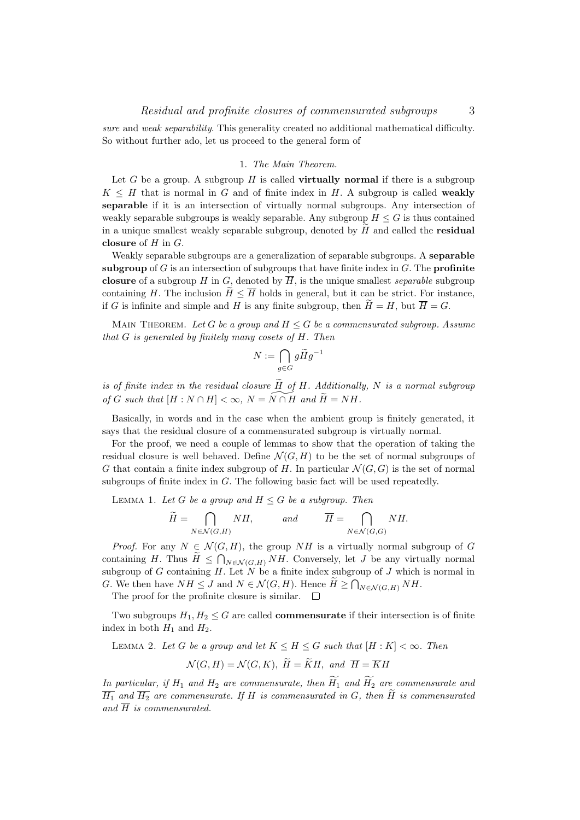sure and weak separability. This generality created no additional mathematical difficulty. So without further ado, let us proceed to the general form of

## 1. The Main Theorem.

Let G be a group. A subgroup H is called **virtually normal** if there is a subgroup  $K \leq H$  that is normal in G and of finite index in H. A subgroup is called weakly separable if it is an intersection of virtually normal subgroups. Any intersection of weakly separable subgroups is weakly separable. Any subgroup  $H \leq G$  is thus contained in a unique smallest weakly separable subgroup, denoted by  $\tilde{H}$  and called the **residual** closure of  $H$  in  $G$ .

Weakly separable subgroups are a generalization of separable subgroups. A separable subgroup of  $G$  is an intersection of subgroups that have finite index in  $G$ . The **profinite** closure of a subgroup H in G, denoted by  $\overline{H}$ , is the unique smallest *separable* subgroup containing H. The inclusion  $\widetilde{H} \leq \overline{H}$  holds in general, but it can be strict. For instance, if G is infinite and simple and H is any finite subgroup, then  $\widetilde{H} = H$ , but  $\overline{H} = G$ .

MAIN THEOREM. Let G be a group and  $H \leq G$  be a commensurated subgroup. Assume that G is generated by finitely many cosets of H. Then

$$
N:=\bigcap_{g\in G}g\widetilde{H}g^{-1}
$$

is of finite index in the residual closure  $\widetilde{H}$  of H. Additionally, N is a normal subgroup of G such that  $[H : N \cap H] < \infty$ ,  $N = \widetilde{N \cap H}$  and  $\widetilde{H} = NH$ .

Basically, in words and in the case when the ambient group is finitely generated, it says that the residual closure of a commensurated subgroup is virtually normal.

For the proof, we need a couple of lemmas to show that the operation of taking the residual closure is well behaved. Define  $\mathcal{N}(G, H)$  to be the set of normal subgroups of G that contain a finite index subgroup of H. In particular  $\mathcal{N}(G, G)$  is the set of normal subgroups of finite index in G. The following basic fact will be used repeatedly.

LEMMA 1. Let G be a group and  $H \leq G$  be a subgroup. Then

$$
\widetilde{H} = \bigcap_{N \in \mathcal{N}(G,H)} NH, \quad and \quad \overline{H} = \bigcap_{N \in \mathcal{N}(G,G)} NH.
$$

*Proof.* For any  $N \in \mathcal{N}(G, H)$ , the group NH is a virtually normal subgroup of G containing H. Thus  $H \le \bigcap_{N \in \mathcal{N}(G,H)} NH$ . Conversely, let J be any virtually normal subgroup of G containing H. Let  $N$  be a finite index subgroup of J which is normal in G. We then have  $NH \leq J$  and  $N \in \mathcal{N}(G, H)$ . Hence  $H \geq \bigcap_{N \in \mathcal{N}(G, H)} NH$ .

The proof for the profinite closure is similar.  $\Box$ 

Two subgroups  $H_1, H_2 \leq G$  are called **commensurate** if their intersection is of finite index in both  $H_1$  and  $H_2$ .

LEMMA 2. Let G be a group and let  $K \leq H \leq G$  such that  $[H: K] < \infty$ . Then

$$
\mathcal{N}(G, H) = \mathcal{N}(G, K), \ \widetilde{H} = \widetilde{K}H, \ and \ \overline{H} = \overline{K}H
$$

In particular, if  $H_1$  and  $H_2$  are commensurate, then  $\widetilde{H_1}$  and  $\widetilde{H_2}$  are commensurate and  $\overline{H_1}$  and  $\overline{H_2}$  are commensurate. If H is commensurated in G, then  $\widetilde{H}$  is commensurated and  $\overline{H}$  is commensurated.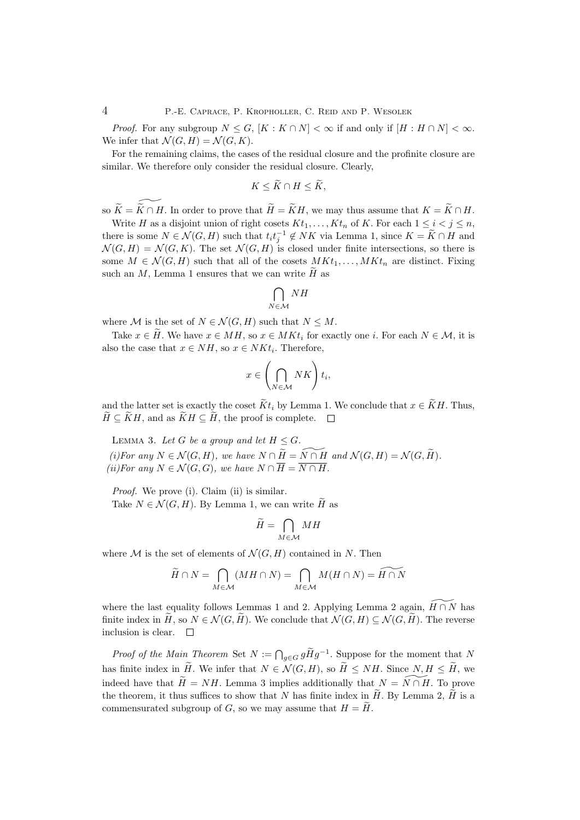*Proof.* For any subgroup  $N \leq G$ ,  $[K: K \cap N] < \infty$  if and only if  $[H: H \cap N] < \infty$ . We infer that  $\mathcal{N}(G,H) = \mathcal{N}(G,K)$ .

For the remaining claims, the cases of the residual closure and the profinite closure are similar. We therefore only consider the residual closure. Clearly,

$$
K \leq \widetilde{K} \cap H \leq \widetilde{K},
$$

so  $\widetilde{K} = \widetilde{K} \cap H$ . In order to prove that  $\widetilde{H} = \widetilde{K}H$ , we may thus assume that  $K = \widetilde{K} \cap H$ .

Write H as a disjoint union of right cosets  $Kt_1, \ldots, Kt_n$  of K. For each  $1 \leq i \leq j \leq n$ , there is some  $N \in \mathcal{N}(G, H)$  such that  $t_i t_j^{-1} \notin NK$  via Lemma 1, since  $K = \widetilde{K} \cap H$  and  $\mathcal{N}(G,H) = \mathcal{N}(G,K)$ . The set  $\mathcal{N}(G,H)$  is closed under finite intersections, so there is some  $M \in \mathcal{N}(G, H)$  such that all of the cosets  $MKt_1, \ldots, MKt_n$  are distinct. Fixing such an M, Lemma 1 ensures that we can write  $H$  as

$$
\bigcap_{N\in\mathcal{M}}NH
$$

where M is the set of  $N \in \mathcal{N}(G, H)$  such that  $N \leq M$ .

Take  $x \in \tilde{H}$ . We have  $x \in MH$ , so  $x \in MKt_i$  for exactly one i. For each  $N \in \mathcal{M}$ , it is also the case that  $x \in NH$ , so  $x \in NK t_i$ . Therefore,

$$
x \in \left(\bigcap_{N \in \mathcal{M}} NK\right) t_i,
$$

and the latter set is exactly the coset  $\tilde{K}t_i$  by Lemma 1. We conclude that  $x \in \tilde{K}H$ . Thus,  $H \subseteq KH$ , and as  $KH \subseteq H$ , the proof is complete.  $\square$ 

LEMMA 3. Let G be a group and let  $H \leq G$ . (i)For any  $N \in \mathcal{N}(G, H)$ , we have  $N \cap \widetilde{H} = \widetilde{N \cap H}$  and  $\mathcal{N}(G, H) = \mathcal{N} (G, \widetilde{H}).$ (ii)For any  $N \in \mathcal{N}(G, G)$ , we have  $N \cap \overline{H} = \overline{N \cap H}$ .

Proof. We prove (i). Claim (ii) is similar.

Take  $N \in \mathcal{N}(G, H)$ . By Lemma 1, we can write  $\widetilde{H}$  as

$$
\widetilde{H} = \bigcap_{M \in \mathcal{M}} MH
$$

where M is the set of elements of  $\mathcal{N}(G, H)$  contained in N. Then

$$
\widetilde{H} \cap N = \bigcap_{M \in \mathcal{M}} (MH \cap N) = \bigcap_{M \in \mathcal{M}} M(H \cap N) = \widetilde{H \cap N}
$$

where the last equality follows Lemmas 1 and 2. Applying Lemma 2 again,  $H \cap N$  has finite index in  $H$ , so  $N \in \mathcal{N}(G, H)$ . We conclude that  $\mathcal{N}(G, H) \subseteq \mathcal{N}(G, H)$ . The reverse inclusion is clear.  $\Box$ inclusion is clear.

*Proof of the Main Theorem Set*  $N := \bigcap_{g \in G} g\widetilde{H}g^{-1}$ . Suppose for the moment that  $N$ has finite index in  $\widetilde{H}$ . We infer that  $N \in \mathcal{N}(G, H)$ , so  $\widetilde{H} \leq NH$ . Since  $N, H \leq \widetilde{H}$ , we indeed have that  $\widetilde{H} = NH$ . Lemma 3 implies additionally that  $N = \widetilde{N \cap H}$ . To prove the theorem, it thus suffices to show that N has finite index in  $\widetilde{H}$ . By Lemma 2,  $\widetilde{H}$  is a commensurated subgroup of G, so we may assume that  $H = \widetilde{H}$ .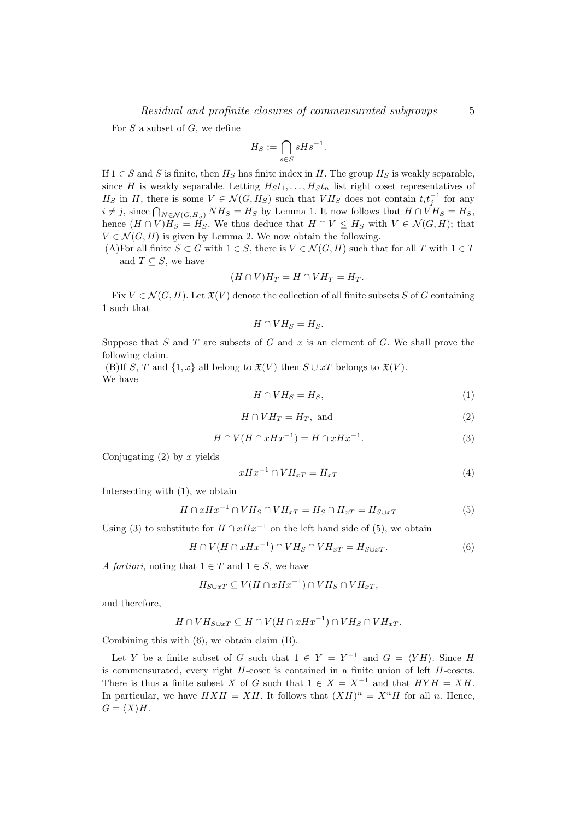For  $S$  a subset of  $G$ , we define

$$
H_S := \bigcap_{s \in S} sHs^{-1}.
$$

If  $1 \in S$  and S is finite, then  $H_S$  has finite index in H. The group  $H_S$  is weakly separable, since H is weakly separable. Letting  $H_St_1, \ldots, H_St_n$  list right coset representatives of  $H_S$  in H, there is some  $V \in \mathcal{N}(G, H_S)$  such that  $V H_S$  does not contain  $t_i t_j^{-1}$  for any  $i \neq j$ , since  $\bigcap_{N \in \mathcal{N}(G,H_S)} NH_S = H_S$  by Lemma 1. It now follows that  $H \cap VH_S = H_S$ , hence  $(H \cap V)H_S = H_S$ . We thus deduce that  $H \cap V \leq H_S$  with  $V \in \mathcal{N}(G, H)$ ; that  $V \in \mathcal{N}(G, H)$  is given by Lemma 2. We now obtain the following.

(A)For all finite  $S \subset G$  with  $1 \in S$ , there is  $V \in \mathcal{N}(G, H)$  such that for all T with  $1 \in T$ and  $T \subseteq S$ , we have

$$
(H \cap V)H_T = H \cap VH_T = H_T.
$$

Fix  $V \in \mathcal{N}(G, H)$ . Let  $\mathfrak{X}(V)$  denote the collection of all finite subsets S of G containing 1 such that

$$
H \cap VH_S = H_S.
$$

Suppose that S and T are subsets of G and x is an element of G. We shall prove the following claim.

(B)If S, T and  $\{1, x\}$  all belong to  $\mathfrak{X}(V)$  then  $S \cup xT$  belongs to  $\mathfrak{X}(V)$ . We have

$$
H \cap VH_S = H_S,\tag{1}
$$

$$
H \cap VH_T = H_T, \text{ and } \tag{2}
$$

$$
H \cap V(H \cap xHx^{-1}) = H \cap xHx^{-1}.
$$
\n<sup>(3)</sup>

Conjugating  $(2)$  by x yields

$$
xHx^{-1} \cap VH_{xT} = H_{xT} \tag{4}
$$

Intersecting with (1), we obtain

$$
H \cap xHx^{-1} \cap VH_S \cap VH_{xT} = H_S \cap H_{xT} = H_{S \cup xT}
$$
(5)

Using (3) to substitute for  $H \cap xHx^{-1}$  on the left hand side of (5), we obtain

$$
H \cap V(H \cap xHx^{-1}) \cap VH_S \cap VH_{xT} = H_{S \cup xT}.
$$
\n<sup>(6)</sup>

A fortiori, noting that  $1 \in T$  and  $1 \in S$ , we have

$$
H_{S \cup xT} \subseteq V(H \cap xHx^{-1}) \cap VH_S \cap VH_{xT},
$$

and therefore,

$$
H \cap VH_{S \cup xT} \subseteq H \cap V(H \cap xHx^{-1}) \cap VH_S \cap VH_{xT}.
$$

Combining this with (6), we obtain claim (B).

Let Y be a finite subset of G such that  $1 \in Y = Y^{-1}$  and  $G = \langle YH \rangle$ . Since H is commensurated, every right  $H$ -coset is contained in a finite union of left  $H$ -cosets. There is thus a finite subset X of G such that  $1 \in X = X^{-1}$  and that  $HYH = XH$ . In particular, we have  $H X H = X H$ . It follows that  $(X H)^n = X^n H$  for all n. Hence,  $G = \langle X \rangle H.$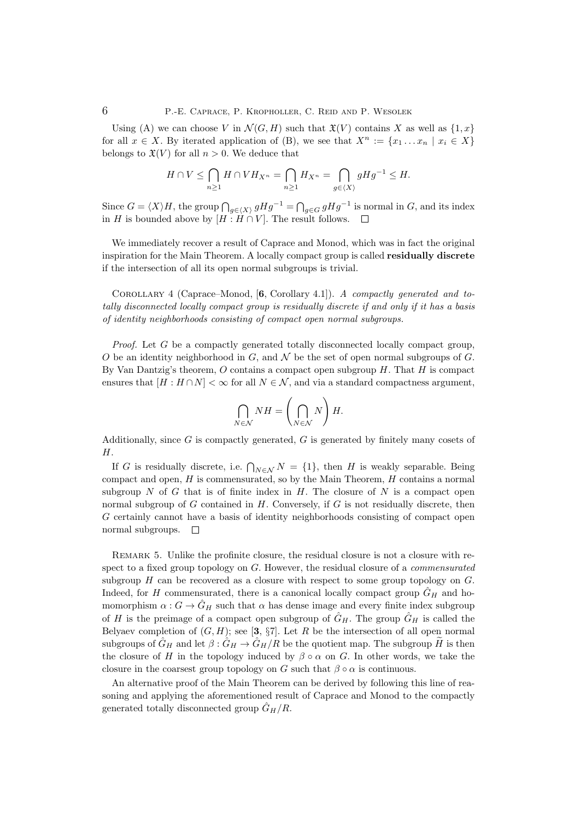Using (A) we can choose V in  $\mathcal{N}(G, H)$  such that  $\mathfrak{X}(V)$  contains X as well as  $\{1, x\}$ for all  $x \in X$ . By iterated application of (B), we see that  $X^n := \{x_1 \dots x_n \mid x_i \in X\}$ belongs to  $\mathfrak{X}(V)$  for all  $n > 0$ . We deduce that

$$
H \cap V \leq \bigcap_{n \geq 1} H \cap VH_{X^n} = \bigcap_{n \geq 1} H_{X^n} = \bigcap_{g \in \langle X \rangle} gHg^{-1} \leq H.
$$

Since  $G = \langle X \rangle H$ , the group  $\bigcap_{g \in \langle X \rangle} g H g^{-1} = \bigcap_{g \in G} g H g^{-1}$  is normal in G, and its index in H is bounded above by  $[H : H \cap V]$ . The result follows.  $\square$ 

We immediately recover a result of Caprace and Monod, which was in fact the original inspiration for the Main Theorem. A locally compact group is called residually discrete if the intersection of all its open normal subgroups is trivial.

COROLLARY 4 (Caprace–Monod,  $[6, Corollary 4.1]$ ). A compactly generated and totally disconnected locally compact group is residually discrete if and only if it has a basis of identity neighborhoods consisting of compact open normal subgroups.

Proof. Let G be a compactly generated totally disconnected locally compact group, O be an identity neighborhood in G, and N be the set of open normal subgroups of G. By Van Dantzig's theorem,  $O$  contains a compact open subgroup  $H$ . That  $H$  is compact ensures that  $[H : H \cap N] < \infty$  for all  $N \in \mathcal{N}$ , and via a standard compactness argument,

$$
\bigcap_{N\in\mathcal{N}}NH = \left(\bigcap_{N\in\mathcal{N}}N\right)H.
$$

Additionally, since  $G$  is compactly generated,  $G$  is generated by finitely many cosets of H.

If G is residually discrete, i.e.  $\bigcap_{N\in\mathcal{N}}N = \{1\}$ , then H is weakly separable. Being compact and open,  $H$  is commensurated, so by the Main Theorem,  $H$  contains a normal subgroup  $N$  of  $G$  that is of finite index in  $H$ . The closure of  $N$  is a compact open normal subgroup of  $G$  contained in  $H$ . Conversely, if  $G$  is not residually discrete, then G certainly cannot have a basis of identity neighborhoods consisting of compact open normal subgroups.  $\square$ 

Remark 5. Unlike the profinite closure, the residual closure is not a closure with respect to a fixed group topology on G. However, the residual closure of a *commensurated* subgroup H can be recovered as a closure with respect to some group topology on G. Indeed, for H commensurated, there is a canonical locally compact group  $\hat{G}_H$  and homomorphism  $\alpha$ :  $G \rightarrow \hat{G}_H$  such that  $\alpha$  has dense image and every finite index subgroup of H is the preimage of a compact open subgroup of  $\hat{G}_H$ . The group  $\hat{G}_H$  is called the Belyaev completion of  $(G, H)$ ; see [3, §7]. Let R be the intersection of all open normal subgroups of  $\hat{G}_H$  and let  $\beta : \hat{G}_H \to \hat{G}_H/R$  be the quotient map. The subgroup  $\tilde{H}$  is then the closure of H in the topology induced by  $\beta \circ \alpha$  on G. In other words, we take the closure in the coarsest group topology on G such that  $\beta \circ \alpha$  is continuous.

An alternative proof of the Main Theorem can be derived by following this line of reasoning and applying the aforementioned result of Caprace and Monod to the compactly generated totally disconnected group  $\hat{G}_H/R$ .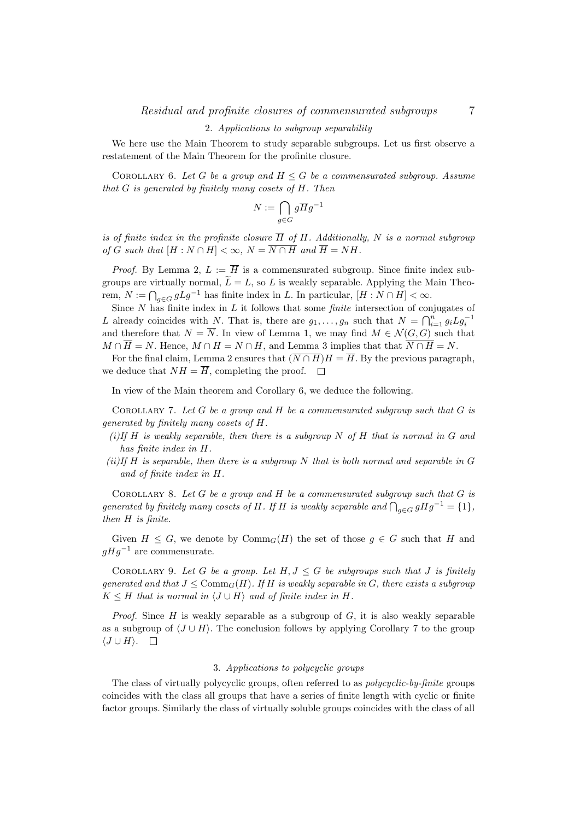#### 2. Applications to subgroup separability

We here use the Main Theorem to study separable subgroups. Let us first observe a restatement of the Main Theorem for the profinite closure.

COROLLARY 6. Let G be a group and  $H \leq G$  be a commensurated subgroup. Assume that G is generated by finitely many cosets of H. Then

$$
N:=\bigcap_{g\in G}g\overline{H}g^{-1}
$$

is of finite index in the profinite closure  $\overline{H}$  of H. Additionally, N is a normal subgroup of G such that  $[H: N \cap H] < \infty$ ,  $N = \overline{N \cap H}$  and  $\overline{H} = NH$ .

*Proof.* By Lemma 2,  $L := \overline{H}$  is a commensurated subgroup. Since finite index subgroups are virtually normal,  $\widetilde{L} = L$ , so L is weakly separable. Applying the Main Theorem,  $N := \bigcap_{g \in G} gLg^{-1}$  has finite index in L. In particular,  $[H : N \cap H] < \infty$ .

Since  $N$  has finite index in  $L$  it follows that some *finite* intersection of conjugates of L already coincides with N. That is, there are  $g_1, \ldots, g_n$  such that  $N = \bigcap_{i=1}^n g_i L g_i^{-1}$ and therefore that  $N = \overline{N}$ . In view of Lemma 1, we may find  $M \in \mathcal{N}(G, G)$  such that  $M \cap \overline{H} = N$ . Hence,  $M \cap H = N \cap H$ , and Lemma 3 implies that that  $\overline{N \cap H} = N$ .

For the final claim, Lemma 2 ensures that  $(\overline{N \cap H})H = \overline{H}$ . By the previous paragraph, we deduce that  $NH = \overline{H}$ , completing the proof.  $\square$ 

In view of the Main theorem and Corollary 6, we deduce the following.

COROLLARY 7. Let  $G$  be a group and  $H$  be a commensurated subgroup such that  $G$  is generated by finitely many cosets of H.

- (i)If H is weakly separable, then there is a subgroup N of H that is normal in G and has finite index in H.
- $(ii)$ If H is separable, then there is a subgroup N that is both normal and separable in G and of finite index in H.

COROLLARY 8. Let  $G$  be a group and  $H$  be a commensurated subgroup such that  $G$  is generated by finitely many cosets of H. If H is weakly separable and  $\bigcap_{g\in G}gHg^{-1}=\{1\},$ then H is finite.

Given  $H \leq G$ , we denote by  $\mathrm{Comm}_G(H)$  the set of those  $g \in G$  such that H and  $qHq^{-1}$  are commensurate.

COROLLARY 9. Let G be a group. Let  $H, J \leq G$  be subgroups such that J is finitely generated and that  $J \leq \text{Comm}_G(H)$ . If H is weakly separable in G, there exists a subgroup  $K \leq H$  that is normal in  $\langle J \cup H \rangle$  and of finite index in H.

*Proof.* Since  $H$  is weakly separable as a subgroup of  $G$ , it is also weakly separable as a subgroup of  $\langle J \cup H \rangle$ . The conclusion follows by applying Corollary 7 to the group  $\langle J \cup H \rangle$ .  $\Box$ 

## 3. Applications to polycyclic groups

The class of virtually polycyclic groups, often referred to as *polycyclic-by-finite* groups coincides with the class all groups that have a series of finite length with cyclic or finite factor groups. Similarly the class of virtually soluble groups coincides with the class of all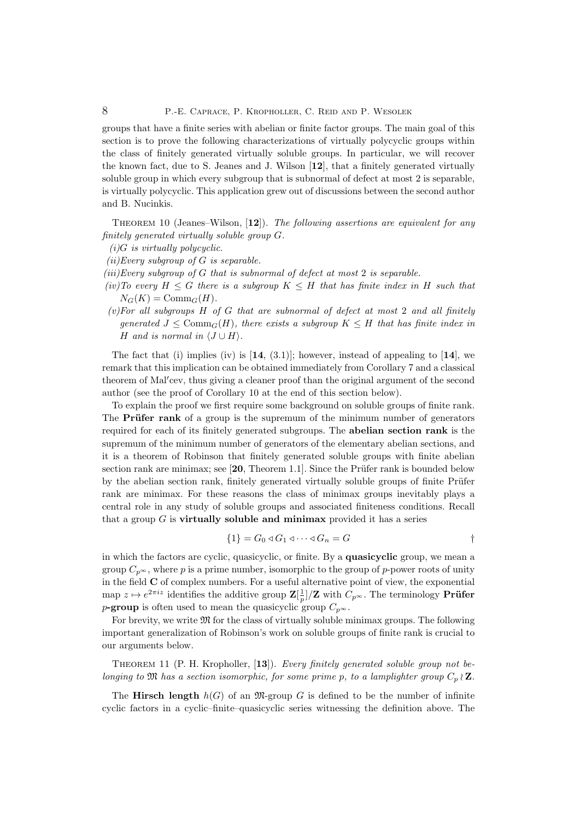groups that have a finite series with abelian or finite factor groups. The main goal of this section is to prove the following characterizations of virtually polycyclic groups within the class of finitely generated virtually soluble groups. In particular, we will recover the known fact, due to S. Jeanes and J. Wilson [12], that a finitely generated virtually soluble group in which every subgroup that is subnormal of defect at most 2 is separable, is virtually polycyclic. This application grew out of discussions between the second author and B. Nucinkis.

THEOREM 10 (Jeanes–Wilson,  $[12]$ ). The following assertions are equivalent for any finitely generated virtually soluble group G.

 $(i)$ G is virtually polycyclic.

 $(ii) Every subgroup of G is separable.$ 

- (iii)Every subgroup of  $G$  that is subnormal of defect at most 2 is separable.
- (iv)To every  $H \leq G$  there is a subgroup  $K \leq H$  that has finite index in H such that  $N_G(K) = \text{Comm}_G(H)$ .
- $(v)$  For all subgroups  $H$  of  $G$  that are subnormal of defect at most 2 and all finitely generated  $J \leq Comm_G(H)$ , there exists a subgroup  $K \leq H$  that has finite index in H and is normal in  $\langle J \cup H \rangle$ .

The fact that (i) implies (iv) is  $[14, (3.1)]$ ; however, instead of appealing to  $[14]$ , we remark that this implication can be obtained immediately from Corollary 7 and a classical theorem of Mal'cev, thus giving a cleaner proof than the original argument of the second author (see the proof of Corollary 10 at the end of this section below).

To explain the proof we first require some background on soluble groups of finite rank. The **Prüfer rank** of a group is the supremum of the minimum number of generators required for each of its finitely generated subgroups. The abelian section rank is the supremum of the minimum number of generators of the elementary abelian sections, and it is a theorem of Robinson that finitely generated soluble groups with finite abelian section rank are minimax; see  $[20,$  Theorem 1.1. Since the Prüfer rank is bounded below by the abelian section rank, finitely generated virtually soluble groups of finite Prüfer rank are minimax. For these reasons the class of minimax groups inevitably plays a central role in any study of soluble groups and associated finiteness conditions. Recall that a group  $G$  is **virtually soluble and minimax** provided it has a series

$$
\{1\} = G_0 \triangleleft G_1 \triangleleft \cdots \triangleleft G_n = G
$$

in which the factors are cyclic, quasicyclic, or finite. By a quasicyclic group, we mean a group  $C_{p^{\infty}}$ , where p is a prime number, isomorphic to the group of p-power roots of unity in the field C of complex numbers. For a useful alternative point of view, the exponential map  $z \mapsto e^{2\pi i z}$  identifies the additive group  $\mathbf{Z}[\frac{1}{p}]/\mathbf{Z}$  with  $C_{p^{\infty}}$ . The terminology **Prüfer** p-group is often used to mean the quasicyclic group  $C_{p^{\infty}}$ .

For brevity, we write  $\mathfrak{M}$  for the class of virtually soluble minimax groups. The following important generalization of Robinson's work on soluble groups of finite rank is crucial to our arguments below.

Theorem 11 (P. H. Kropholler, [13]). Every finitely generated soluble group not belonging to  $\mathfrak{M}$  has a section isomorphic, for some prime p, to a lamplighter group  $C_n \wr \mathbf{Z}$ .

The Hirsch length  $h(G)$  of an M-group G is defined to be the number of infinite cyclic factors in a cyclic–finite–quasicyclic series witnessing the definition above. The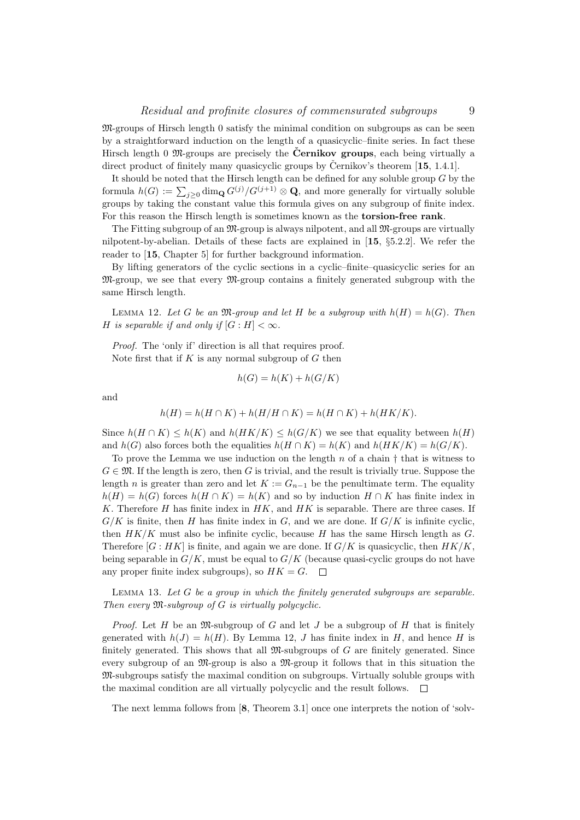M-groups of Hirsch length 0 satisfy the minimal condition on subgroups as can be seen by a straightforward induction on the length of a quasicyclic–finite series. In fact these Hirsch length 0  $\mathfrak{M}$ -groups are precisely the **Černikov groups**, each being virtually a direct product of finitely many quasicyclic groups by Cernikov's theorem  $[15, 1.4.1]$ .

It should be noted that the Hirsch length can be defined for any soluble group  $G$  by the formula  $h(G) := \sum_{j\geq 0} \dim_{\mathbf{Q}} G^{(j)}/G^{(j+1)} \otimes \mathbf{Q}$ , and more generally for virtually soluble groups by taking the constant value this formula gives on any subgroup of finite index. For this reason the Hirsch length is sometimes known as the torsion-free rank.

The Fitting subgroup of an  $\mathfrak{M}$ -group is always nilpotent, and all  $\mathfrak{M}$ -groups are virtually nilpotent-by-abelian. Details of these facts are explained in [15, §5.2.2]. We refer the reader to [15, Chapter 5] for further background information.

By lifting generators of the cyclic sections in a cyclic–finite–quasicyclic series for an M-group, we see that every M-group contains a finitely generated subgroup with the same Hirsch length.

LEMMA 12. Let G be an  $\mathfrak{M}$ -group and let H be a subgroup with  $h(H) = h(G)$ . Then H is separable if and only if  $[G:H] < \infty$ .

Proof. The 'only if' direction is all that requires proof. Note first that if  $K$  is any normal subgroup of  $G$  then

$$
h(G) = h(K) + h(G/K)
$$

and

$$
h(H) = h(H \cap K) + h(H/H \cap K) = h(H \cap K) + h(HK/K).
$$

Since  $h(H \cap K) \leq h(K)$  and  $h(HK/K) \leq h(G/K)$  we see that equality between  $h(H)$ and  $h(G)$  also forces both the equalities  $h(H \cap K) = h(K)$  and  $h(HK/K) = h(G/K)$ .

To prove the Lemma we use induction on the length n of a chain  $\dagger$  that is witness to  $G \in \mathfrak{M}$ . If the length is zero, then G is trivial, and the result is trivially true. Suppose the length n is greater than zero and let  $K := G_{n-1}$  be the penultimate term. The equality  $h(H) = h(G)$  forces  $h(H \cap K) = h(K)$  and so by induction  $H \cap K$  has finite index in K. Therefore  $H$  has finite index in  $HK$ , and  $HK$  is separable. There are three cases. If  $G/K$  is finite, then H has finite index in G, and we are done. If  $G/K$  is infinite cyclic, then  $HK/K$  must also be infinite cyclic, because H has the same Hirsch length as  $G$ . Therefore  $[G:HK]$  is finite, and again we are done. If  $G/K$  is quasicyclic, then  $HK/K$ , being separable in  $G/K$ , must be equal to  $G/K$  (because quasi-cyclic groups do not have any proper finite index subgroups), so  $HK = G$ .

LEMMA 13. Let  $G$  be a group in which the finitely generated subgroups are separable. Then every  $\mathfrak M$ -subgroup of  $G$  is virtually polycyclic.

*Proof.* Let H be an  $\mathfrak{M}$ -subgroup of G and let J be a subgroup of H that is finitely generated with  $h(J) = h(H)$ . By Lemma 12, J has finite index in H, and hence H is finitely generated. This shows that all  $\mathfrak{M}$ -subgroups of  $G$  are finitely generated. Since every subgroup of an M-group is also a M-group it follows that in this situation the M-subgroups satisfy the maximal condition on subgroups. Virtually soluble groups with the maximal condition are all virtually polycyclic and the result follows.

The next lemma follows from [8, Theorem 3.1] once one interprets the notion of 'solv-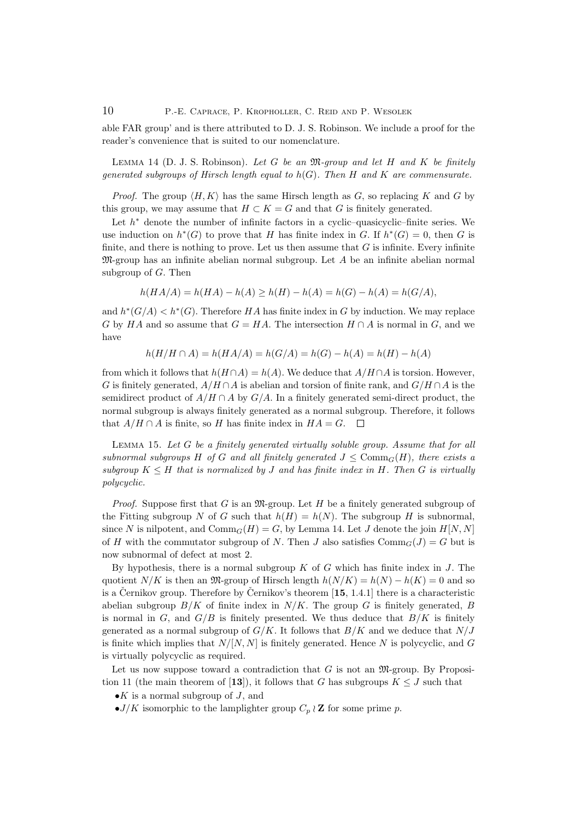10 P.-E. Caprace, P. Kropholler, C. Reid and P. Wesolek

able FAR group' and is there attributed to D. J. S. Robinson. We include a proof for the reader's convenience that is suited to our nomenclature.

LEMMA 14 (D. J. S. Robinson). Let G be an  $\mathfrak{M}$ -group and let H and K be finitely generated subgroups of Hirsch length equal to  $h(G)$ . Then H and K are commensurate.

*Proof.* The group  $\langle H, K \rangle$  has the same Hirsch length as G, so replacing K and G by this group, we may assume that  $H \subset K = G$  and that G is finitely generated.

Let  $h^*$  denote the number of infinite factors in a cyclic-quasicyclic-finite series. We use induction on  $h^*(G)$  to prove that H has finite index in G. If  $h^*(G) = 0$ , then G is finite, and there is nothing to prove. Let us then assume that  $G$  is infinite. Every infinite  $\mathfrak{M}$ -group has an infinite abelian normal subgroup. Let A be an infinite abelian normal subgroup of  $G$ . Then

$$
h(HA/A) = h(HA) - h(A) \ge h(H) - h(A) = h(G) - h(A) = h(G/A),
$$

and  $h^*(G/A) < h^*(G)$ . Therefore HA has finite index in G by induction. We may replace G by HA and so assume that  $G = HA$ . The intersection  $H \cap A$  is normal in G, and we have

$$
h(H/H \cap A) = h(HA/A) = h(G/A) = h(G) - h(A) = h(H) - h(A)
$$

from which it follows that  $h(H \cap A) = h(A)$ . We deduce that  $A/H \cap A$  is torsion. However, G is finitely generated,  $A/H \cap A$  is abelian and torsion of finite rank, and  $G/H \cap A$  is the semidirect product of  $A/H \cap A$  by  $G/A$ . In a finitely generated semi-direct product, the normal subgroup is always finitely generated as a normal subgroup. Therefore, it follows that  $A/H \cap A$  is finite, so H has finite index in  $HA = G$ .  $\Box$ 

LEMMA 15. Let  $G$  be a finitely generated virtually soluble group. Assume that for all subnormal subgroups H of G and all finitely generated  $J \leq Comm_G(H)$ , there exists a subgroup  $K \leq H$  that is normalized by J and has finite index in H. Then G is virtually polycyclic.

*Proof.* Suppose first that G is an  $\mathfrak{M}$ -group. Let H be a finitely generated subgroup of the Fitting subgroup N of G such that  $h(H) = h(N)$ . The subgroup H is subnormal, since N is nilpotent, and  $\mathrm{Comm}_G(H) = G$ , by Lemma 14. Let J denote the join  $H[N, N]$ of H with the commutator subgroup of N. Then J also satisfies  $\mathrm{Comm}_G(J) = G$  but is now subnormal of defect at most 2.

By hypothesis, there is a normal subgroup  $K$  of  $G$  which has finite index in  $J$ . The quotient  $N/K$  is then an  $\mathfrak{M}$ -group of Hirsch length  $h(N/K) = h(N) - h(K) = 0$  and so is a Černikov group. Therefore by Černikov's theorem  $[15, 1.4.1]$  there is a characteristic abelian subgroup  $B/K$  of finite index in  $N/K$ . The group G is finitely generated, B is normal in  $G$ , and  $G/B$  is finitely presented. We thus deduce that  $B/K$  is finitely generated as a normal subgroup of  $G/K$ . It follows that  $B/K$  and we deduce that  $N/J$ is finite which implies that  $N/[N, N]$  is finitely generated. Hence N is polycyclic, and G is virtually polycyclic as required.

Let us now suppose toward a contradiction that  $G$  is not an  $\mathfrak{M}$ -group. By Proposition 11 (the main theorem of [13]), it follows that G has subgroups  $K \leq J$  such that

- $\bullet K$  is a normal subgroup of J, and
- $\bullet$  J/K isomorphic to the lamplighter group  $C_p \wr \mathbb{Z}$  for some prime p.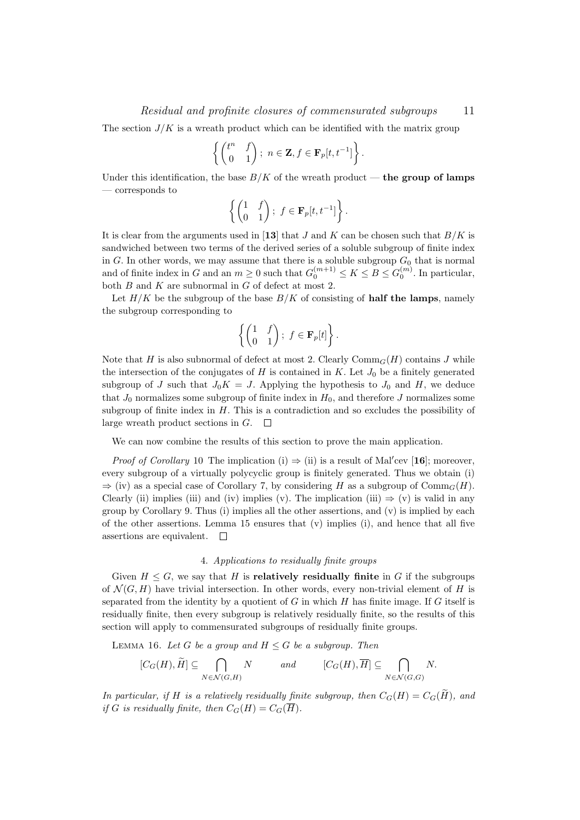### Residual and profinite closures of commensurated subgroups 11

The section  $J/K$  is a wreath product which can be identified with the matrix group

$$
\left\{ \begin{pmatrix} t^n & f \\ 0 & 1 \end{pmatrix}; n \in \mathbf{Z}, f \in \mathbf{F}_p[t, t^{-1}] \right\}.
$$

Under this identification, the base  $B/K$  of the wreath product — the group of lamps — corresponds to

$$
\left\{ \begin{pmatrix} 1 & f \\ 0 & 1 \end{pmatrix}; f \in \mathbf{F}_p[t, t^{-1}] \right\}.
$$

It is clear from the arguments used in [13] that J and K can be chosen such that  $B/K$  is sandwiched between two terms of the derived series of a soluble subgroup of finite index in G. In other words, we may assume that there is a soluble subgroup  $G_0$  that is normal and of finite index in G and an  $m \geq 0$  such that  $G_0^{(m+1)} \leq K \leq B \leq G_0^{(m)}$ . In particular, both  $B$  and  $K$  are subnormal in  $G$  of defect at most 2.

Let  $H/K$  be the subgroup of the base  $B/K$  of consisting of **half the lamps**, namely the subgroup corresponding to

$$
\left\{ \begin{pmatrix} 1 & f \\ 0 & 1 \end{pmatrix}; f \in \mathbf{F}_p[t] \right\}.
$$

Note that H is also subnormal of defect at most 2. Clearly  $\mathrm{Comm}_G(H)$  contains J while the intersection of the conjugates of  $H$  is contained in  $K$ . Let  $J_0$  be a finitely generated subgroup of J such that  $J_0K = J$ . Applying the hypothesis to  $J_0$  and H, we deduce that  $J_0$  normalizes some subgroup of finite index in  $H_0$ , and therefore J normalizes some subgroup of finite index in  $H$ . This is a contradiction and so excludes the possibility of large wreath product sections in  $G$ .  $\Box$ 

We can now combine the results of this section to prove the main application.

*Proof of Corollary* 10 The implication (i)  $\Rightarrow$  (ii) is a result of Mal'cev [16]; moreover, every subgroup of a virtually polycyclic group is finitely generated. Thus we obtain (i)  $\Rightarrow$  (iv) as a special case of Corollary 7, by considering H as a subgroup of Comm<sub>G</sub>(H). Clearly (ii) implies (iii) and (iv) implies (v). The implication (iii)  $\Rightarrow$  (v) is valid in any group by Corollary 9. Thus (i) implies all the other assertions, and  $(v)$  is implied by each of the other assertions. Lemma 15 ensures that  $(v)$  implies  $(i)$ , and hence that all five assertions are equivalent.  $\square$ 

#### 4. Applications to residually finite groups

Given  $H \leq G$ , we say that H is **relatively residually finite** in G if the subgroups of  $\mathcal{N}(G, H)$  have trivial intersection. In other words, every non-trivial element of H is separated from the identity by a quotient of  $G$  in which  $H$  has finite image. If  $G$  itself is residually finite, then every subgroup is relatively residually finite, so the results of this section will apply to commensurated subgroups of residually finite groups.

LEMMA 16. Let G be a group and  $H \leq G$  be a subgroup. Then

$$
[C_G(H), \widetilde{H}] \subseteq \bigcap_{N \in \mathcal{N}(G,H)} N \qquad and \qquad [C_G(H), \overline{H}] \subseteq \bigcap_{N \in \mathcal{N}(G,G)} N.
$$

In particular, if H is a relatively residually finite subgroup, then  $C_G(H) = C_G(\widetilde{H})$ , and if G is residually finite, then  $C_G(H) = C_G(\overline{H}).$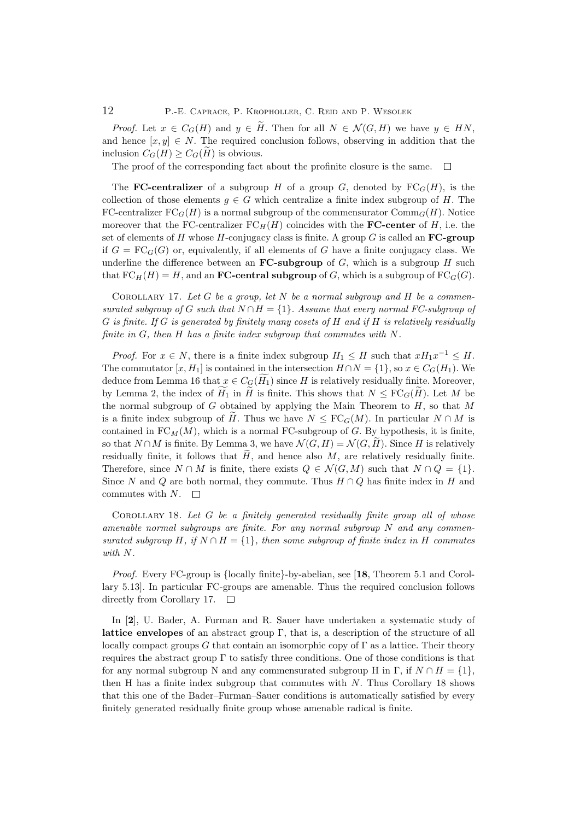*Proof.* Let  $x \in C_G(H)$  and  $y \in \tilde{H}$ . Then for all  $N \in \mathcal{N}(G, H)$  we have  $y \in HN$ , and hence  $[x, y] \in N$ . The required conclusion follows, observing in addition that the inclusion  $C_G(H) \geq C_G(H)$  is obvious.

The proof of the corresponding fact about the profinite closure is the same.  $\Box$ 

The **FC-centralizer** of a subgroup H of a group G, denoted by  $FC_G(H)$ , is the collection of those elements  $g \in G$  which centralize a finite index subgroup of H. The FC-centralizer  $FC_G(H)$  is a normal subgroup of the commensurator  $Comm_G(H)$ . Notice moreover that the FC-centralizer  $FC_H(H)$  coincides with the **FC-center** of H, i.e. the set of elements of H whose H-conjugacy class is finite. A group  $G$  is called an **FC-group** if  $G = \text{FC}_G(G)$  or, equivalently, if all elements of G have a finite conjugacy class. We underline the difference between an **FC-subgroup** of  $G$ , which is a subgroup  $H$  such that  $FC_H(H) = H$ , and an **FC-central subgroup** of G, which is a subgroup of  $FC_G(G)$ .

COROLLARY 17. Let  $G$  be a group, let  $N$  be a normal subgroup and  $H$  be a commensurated subgroup of G such that  $N \cap H = \{1\}$ . Assume that every normal FC-subgroup of  $G$  is finite. If  $G$  is generated by finitely many cosets of  $H$  and if  $H$  is relatively residually finite in G, then H has a finite index subgroup that commutes with N.

*Proof.* For  $x \in N$ , there is a finite index subgroup  $H_1 \leq H$  such that  $xH_1x^{-1} \leq H$ . The commutator  $[x, H_1]$  is contained in the intersection  $H \cap N = \{1\}$ , so  $x \in C_G(H_1)$ . We deduce from Lemma 16 that  $x \in C_G(\widetilde{H}_1)$  since H is relatively residually finite. Moreover, by Lemma 2, the index of  $H_1$  in  $\widetilde{H}$  is finite. This shows that  $N \leq \mathrm{FC}_G(\widetilde{H})$ . Let M be the normal subgroup of  $G$  obtained by applying the Main Theorem to  $H$ , so that M is a finite index subgroup of H. Thus we have  $N \leq \text{FC}_G(M)$ . In particular  $N \cap M$  is contained in  $FC_M(M)$ , which is a normal FC-subgroup of G. By hypothesis, it is finite, so that  $N \cap M$  is finite. By Lemma 3, we have  $\mathcal{N}(G, H) = \mathcal{N}(G, \tilde{H})$ . Since H is relatively residually finite, it follows that  $H$ , and hence also  $M$ , are relatively residually finite. Therefore, since  $N \cap M$  is finite, there exists  $Q \in \mathcal{N}(G, M)$  such that  $N \cap Q = \{1\}.$ Since N and Q are both normal, they commute. Thus  $H \cap Q$  has finite index in H and commutes with  $N$ .  $\square$ 

COROLLARY 18. Let G be a finitely generated residually finite group all of whose amenable normal subgroups are finite. For any normal subgroup  $N$  and any commensurated subgroup H, if  $N \cap H = \{1\}$ , then some subgroup of finite index in H commutes with N.

Proof. Every FC-group is {locally finite}-by-abelian, see [18, Theorem 5.1 and Corollary 5.13]. In particular FC-groups are amenable. Thus the required conclusion follows directly from Corollary 17.  $\Box$ 

In [2], U. Bader, A. Furman and R. Sauer have undertaken a systematic study of **lattice envelopes** of an abstract group  $\Gamma$ , that is, a description of the structure of all locally compact groups G that contain an isomorphic copy of  $\Gamma$  as a lattice. Their theory requires the abstract group  $\Gamma$  to satisfy three conditions. One of those conditions is that for any normal subgroup N and any commensurated subgroup H in  $\Gamma$ , if  $N \cap H = \{1\}$ , then H has a finite index subgroup that commutes with  $N$ . Thus Corollary 18 shows that this one of the Bader–Furman–Sauer conditions is automatically satisfied by every finitely generated residually finite group whose amenable radical is finite.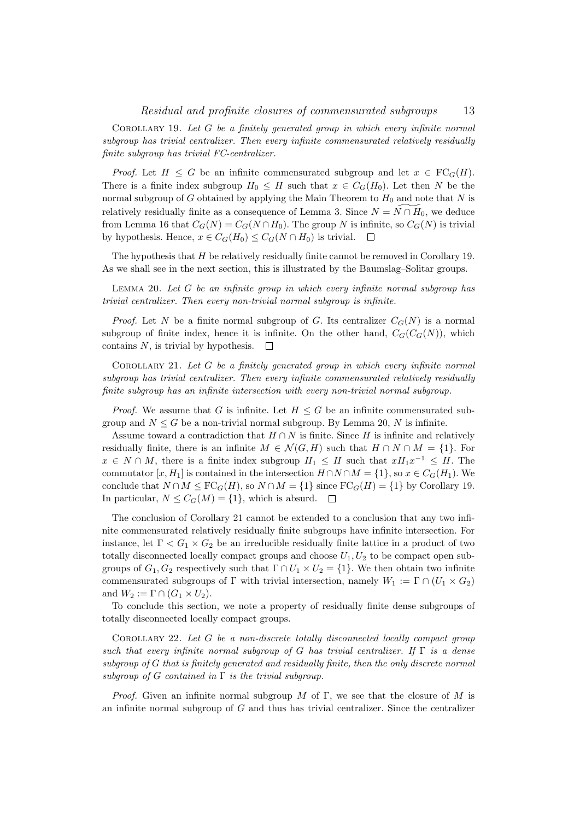Corollary 19. Let G be a finitely generated group in which every infinite normal subgroup has trivial centralizer. Then every infinite commensurated relatively residually finite subgroup has trivial FC-centralizer.

*Proof.* Let  $H \leq G$  be an infinite commensurated subgroup and let  $x \in \text{FC}_G(H)$ . There is a finite index subgroup  $H_0 \leq H$  such that  $x \in C_G(H_0)$ . Let then N be the normal subgroup of G obtained by applying the Main Theorem to  $H_0$  and note that N is relatively residually finite as a consequence of Lemma 3. Since  $N = N \cap H_0$ , we deduce from Lemma 16 that  $C_G(N) = C_G(N \cap H_0)$ . The group N is infinite, so  $C_G(N)$  is trivial by hypothesis. Hence,  $x \in C_G(H_0) \leq C_G(N \cap H_0)$  is trivial.  $\Box$ 

The hypothesis that H be relatively residually finite cannot be removed in Corollary 19. As we shall see in the next section, this is illustrated by the Baumslag–Solitar groups.

LEMMA 20. Let  $G$  be an infinite group in which every infinite normal subgroup has trivial centralizer. Then every non-trivial normal subgroup is infinite.

*Proof.* Let N be a finite normal subgroup of G. Its centralizer  $C_G(N)$  is a normal subgroup of finite index, hence it is infinite. On the other hand,  $C_G(C_G(N))$ , which contains N, is trivial by hypothesis.  $\Box$ 

COROLLARY 21. Let  $G$  be a finitely generated group in which every infinite normal subgroup has trivial centralizer. Then every infinite commensurated relatively residually finite subgroup has an infinite intersection with every non-trivial normal subgroup.

*Proof.* We assume that G is infinite. Let  $H \leq G$  be an infinite commensurated subgroup and  $N \leq G$  be a non-trivial normal subgroup. By Lemma 20, N is infinite.

Assume toward a contradiction that  $H \cap N$  is finite. Since H is infinite and relatively residually finite, there is an infinite  $M \in \mathcal{N}(G, H)$  such that  $H \cap N \cap M = \{1\}$ . For  $x \in N \cap M$ , there is a finite index subgroup  $H_1 \leq H$  such that  $xH_1x^{-1} \leq H$ . The commutator  $[x, H_1]$  is contained in the intersection  $H \cap N \cap M = \{1\}$ , so  $x \in C_G(H_1)$ . We conclude that  $N \cap M \leq \mathrm{FC}_G(H)$ , so  $N \cap M = \{1\}$  since  $\mathrm{FC}_G(H) = \{1\}$  by Corollary 19. In particular,  $N \leq C_G(M) = \{1\}$ , which is absurd.  $\square$ 

The conclusion of Corollary 21 cannot be extended to a conclusion that any two infinite commensurated relatively residually finite subgroups have infinite intersection. For instance, let  $\Gamma < G_1 \times G_2$  be an irreducible residually finite lattice in a product of two totally disconnected locally compact groups and choose  $U_1, U_2$  to be compact open subgroups of  $G_1, G_2$  respectively such that  $\Gamma \cap U_1 \times U_2 = \{1\}$ . We then obtain two infinite commensurated subgroups of Γ with trivial intersection, namely  $W_1 := \Gamma \cap (U_1 \times G_2)$ and  $W_2 := \Gamma \cap (G_1 \times U_2)$ .

To conclude this section, we note a property of residually finite dense subgroups of totally disconnected locally compact groups.

COROLLARY 22. Let  $G$  be a non-discrete totally disconnected locally compact group such that every infinite normal subgroup of G has trivial centralizer. If  $\Gamma$  is a dense subgroup of G that is finitely generated and residually finite, then the only discrete normal subgroup of G contained in  $\Gamma$  is the trivial subgroup.

*Proof.* Given an infinite normal subgroup M of Γ, we see that the closure of M is an infinite normal subgroup of  $G$  and thus has trivial centralizer. Since the centralizer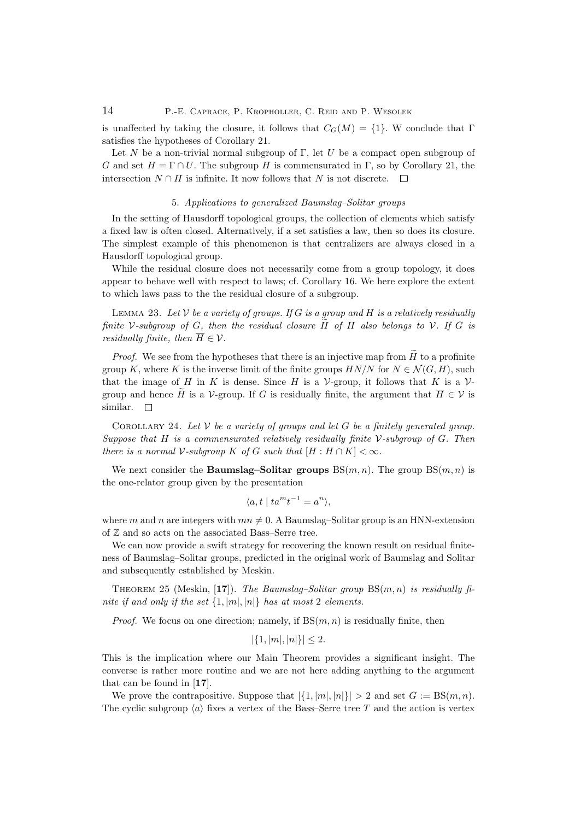is unaffected by taking the closure, it follows that  $C_G(M) = \{1\}$ . W conclude that Γ satisfies the hypotheses of Corollary 21.

Let N be a non-trivial normal subgroup of Γ, let U be a compact open subgroup of G and set  $H = \Gamma \cap U$ . The subgroup H is commensurated in Γ, so by Corollary 21, the intersection  $N ∩ H$  is infinite. It now follows that N is not discrete.  $□$ 

### 5. Applications to generalized Baumslag–Solitar groups

In the setting of Hausdorff topological groups, the collection of elements which satisfy a fixed law is often closed. Alternatively, if a set satisfies a law, then so does its closure. The simplest example of this phenomenon is that centralizers are always closed in a Hausdorff topological group.

While the residual closure does not necessarily come from a group topology, it does appear to behave well with respect to laws; cf. Corollary 16. We here explore the extent to which laws pass to the the residual closure of a subgroup.

LEMMA 23. Let  $V$  be a variety of groups. If G is a group and H is a relatively residually finite V-subgroup of G, then the residual closure  $\tilde{H}$  of  $H$  also belongs to V. If G is residually finite, then  $\overline{H} \in \mathcal{V}$ .

*Proof.* We see from the hypotheses that there is an injective map from  $H$  to a profinite group K, where K is the inverse limit of the finite groups  $HN/N$  for  $N \in \mathcal{N}(G, H)$ , such that the image of H in K is dense. Since H is a  $\mathcal V$ -group, it follows that K is a  $\mathcal V$ group and hence  $\widetilde{H}$  is a V-group. If G is residually finite, the argument that  $\overline{H} \in \mathcal{V}$  is similar.  $\Box$ similar.

COROLLARY 24. Let  $V$  be a variety of groups and let G be a finitely generated group. Suppose that H is a commensurated relatively residually finite  $\mathcal V$ -subgroup of G. Then there is a normal V-subgroup K of G such that  $[H:H \cap K] < \infty$ .

We next consider the **Baumslag–Solitar groups**  $BS(m, n)$ . The group  $BS(m, n)$  is the one-relator group given by the presentation

$$
\langle a, t \mid ta^m t^{-1} = a^n \rangle,
$$

where m and n are integers with  $mn \neq 0$ . A Baumslag–Solitar group is an HNN-extension of Z and so acts on the associated Bass–Serre tree.

We can now provide a swift strategy for recovering the known result on residual finiteness of Baumslag–Solitar groups, predicted in the original work of Baumslag and Solitar and subsequently established by Meskin.

THEOREM 25 (Meskin, [17]). The Baumslag–Solitar group  $BS(m, n)$  is residually finite if and only if the set  $\{1, |m|, |n|\}$  has at most 2 elements.

*Proof.* We focus on one direction; namely, if  $BS(m, n)$  is residually finite, then

$$
|\{1, |m|, |n|\}| \leq 2.
$$

This is the implication where our Main Theorem provides a significant insight. The converse is rather more routine and we are not here adding anything to the argument that can be found in [17].

We prove the contrapositive. Suppose that  $|\{1, |m|, |n|\}| > 2$  and set  $G := BS(m, n)$ . The cyclic subgroup  $\langle a \rangle$  fixes a vertex of the Bass–Serre tree T and the action is vertex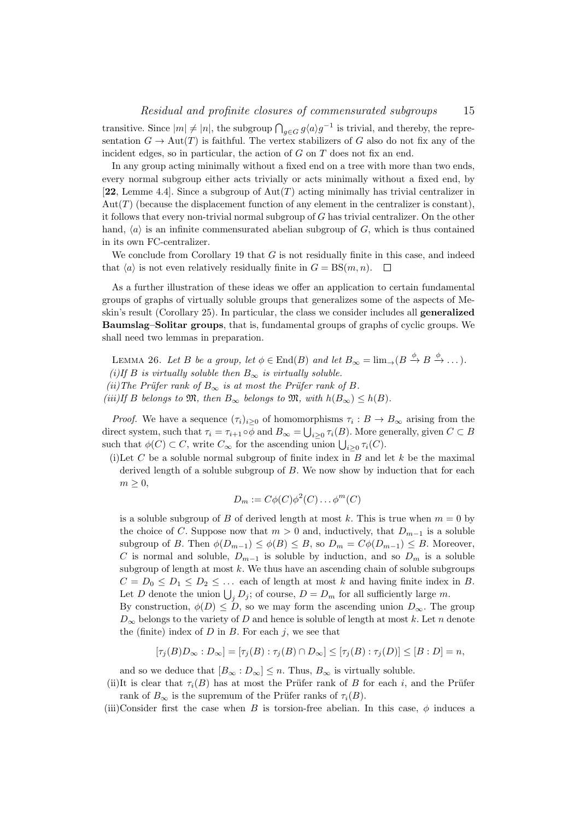transitive. Since  $|m| \neq |n|$ , the subgroup  $\bigcap_{g \in G} g\langle a \rangle g^{-1}$  is trivial, and thereby, the representation  $G \to \text{Aut}(T)$  is faithful. The vertex stabilizers of G also do not fix any of the incident edges, so in particular, the action of  $G$  on  $T$  does not fix an end.

In any group acting minimally without a fixed end on a tree with more than two ends, every normal subgroup either acts trivially or acts minimally without a fixed end, by [22, Lemme 4.4]. Since a subgroup of  $Aut(T)$  acting minimally has trivial centralizer in  $Aut(T)$  (because the displacement function of any element in the centralizer is constant), it follows that every non-trivial normal subgroup of G has trivial centralizer. On the other hand,  $\langle a \rangle$  is an infinite commensurated abelian subgroup of G, which is thus contained in its own FC-centralizer.

We conclude from Corollary 19 that  $G$  is not residually finite in this case, and indeed that  $\langle a \rangle$  is not even relatively residually finite in  $G = BS(m, n)$ .  $\Box$ 

As a further illustration of these ideas we offer an application to certain fundamental groups of graphs of virtually soluble groups that generalizes some of the aspects of Meskin's result (Corollary 25). In particular, the class we consider includes all generalized Baumslag–Solitar groups, that is, fundamental groups of graphs of cyclic groups. We shall need two lemmas in preparation.

LEMMA 26. Let B be a group, let  $\phi \in \text{End}(B)$  and let  $B_{\infty} = \lim_{\to} (B \xrightarrow{\phi} B \xrightarrow{\phi} \dots)$ . (i)If B is virtually soluble then  $B_{\infty}$  is virtually soluble. (ii)The Prüfer rank of  $B_{\infty}$  is at most the Prüfer rank of B. (iii)If B belongs to  $\mathfrak{M}$ , then  $B_{\infty}$  belongs to  $\mathfrak{M}$ , with  $h(B_{\infty}) \leq h(B)$ .

*Proof.* We have a sequence  $(\tau_i)_{i\geq 0}$  of homomorphisms  $\tau_i : B \to B_{\infty}$  arising from the direct system, such that  $\tau_i = \tau_{i+1} \circ \phi$  and  $B_{\infty} = \bigcup_{i \geq 0} \tau_i(B)$ . More generally, given  $C \subset B$ such that  $\phi(C) \subset C$ , write  $C_{\infty}$  for the ascending union  $\bigcup_{i \geq 0} \tau_i(C)$ .

(i)Let C be a soluble normal subgroup of finite index in  $B$  and let  $k$  be the maximal derived length of a soluble subgroup of B. We now show by induction that for each  $m \geq 0$ ,

$$
D_m := C\phi(C)\phi^2(C)\dots\phi^m(C)
$$

is a soluble subgroup of B of derived length at most k. This is true when  $m = 0$  by the choice of C. Suppose now that  $m > 0$  and, inductively, that  $D_{m-1}$  is a soluble subgroup of B. Then  $\phi(D_{m-1}) \leq \phi(B) \leq B$ , so  $D_m = C\phi(D_{m-1}) \leq B$ . Moreover, C is normal and soluble,  $D_{m-1}$  is soluble by induction, and so  $D_m$  is a soluble subgroup of length at most  $k$ . We thus have an ascending chain of soluble subgroups  $C = D_0 \leq D_1 \leq D_2 \leq \ldots$  each of length at most k and having finite index in B. Let D denote the union  $\bigcup_j D_j$ ; of course,  $D = D_m$  for all sufficiently large m.

By construction,  $\phi(D) \leq D$ , so we may form the ascending union  $D_{\infty}$ . The group  $D_{\infty}$  belongs to the variety of D and hence is soluble of length at most k. Let n denote the (finite) index of  $D$  in  $B$ . For each  $j$ , we see that

$$
[\tau_j(B)D_{\infty}:D_{\infty}]=[\tau_j(B):\tau_j(B)\cap D_{\infty}]\leq [\tau_j(B):\tau_j(D)]\leq [B:D]=n,
$$

and so we deduce that  $[B_{\infty} : D_{\infty}] \leq n$ . Thus,  $B_{\infty}$  is virtually soluble.

(ii)It is clear that  $\tau_i(B)$  has at most the Prüfer rank of B for each i, and the Prüfer rank of  $B_{\infty}$  is the supremum of the Prüfer ranks of  $\tau_i(B)$ .

(iii)Consider first the case when B is torsion-free abelian. In this case,  $\phi$  induces a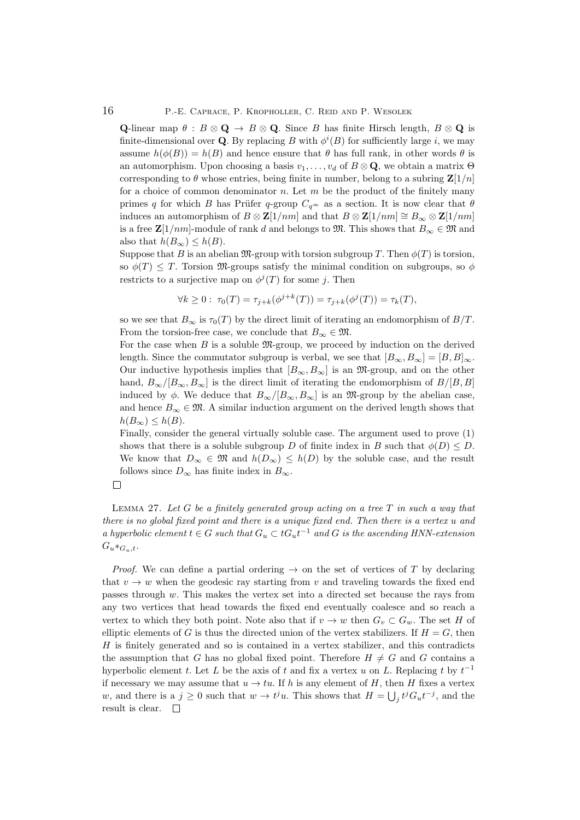**Q**-linear map  $\theta$  :  $B \otimes \mathbf{Q} \rightarrow B \otimes \mathbf{Q}$ . Since B has finite Hirsch length,  $B \otimes \mathbf{Q}$  is finite-dimensional over Q. By replacing B with  $\phi^{i}(B)$  for sufficiently large i, we may assume  $h(\phi(B)) = h(B)$  and hence ensure that  $\theta$  has full rank, in other words  $\theta$  is an automorphism. Upon choosing a basis  $v_1, \ldots, v_d$  of  $B \otimes \mathbf{Q}$ , we obtain a matrix  $\Theta$ corresponding to  $\theta$  whose entries, being finite in number, belong to a subring  $\mathbf{Z}[1/n]$ for a choice of common denominator n. Let  $m$  be the product of the finitely many primes q for which B has Prüfer q-group  $C_{q^{\infty}}$  as a section. It is now clear that  $\theta$ induces an automorphism of  $B \otimes \mathbf{Z}[1/nm]$  and that  $B \otimes \mathbf{Z}[1/nm] \cong B_{\infty} \otimes \mathbf{Z}[1/nm]$ is a free  $\mathbb{Z}[1/mn]$ -module of rank d and belongs to  $\mathfrak{M}$ . This shows that  $B_{\infty} \in \mathfrak{M}$  and also that  $h(B_{\infty}) \leq h(B)$ .

Suppose that B is an abelian  $\mathfrak{M}$ -group with torsion subgroup T. Then  $\phi(T)$  is torsion, so  $\phi(T) \leq T$ . Torsion M-groups satisfy the minimal condition on subgroups, so  $\phi$ restricts to a surjective map on  $\phi^{j}(T)$  for some j. Then

$$
\forall k \ge 0 : \ \tau_0(T) = \tau_{j+k}(\phi^{j+k}(T)) = \tau_{j+k}(\phi^j(T)) = \tau_k(T),
$$

so we see that  $B_{\infty}$  is  $\tau_0(T)$  by the direct limit of iterating an endomorphism of  $B/T$ . From the torsion-free case, we conclude that  $B_{\infty} \in \mathfrak{M}$ .

For the case when  $B$  is a soluble  $\mathfrak{M}$ -group, we proceed by induction on the derived length. Since the commutator subgroup is verbal, we see that  $[B_{\infty}, B_{\infty}] = [B, B]_{\infty}$ . Our inductive hypothesis implies that  $[B_{\infty}, B_{\infty}]$  is an M-group, and on the other hand,  $B_{\infty}/[B_{\infty}, B_{\infty}]$  is the direct limit of iterating the endomorphism of  $B/[B, B]$ induced by  $\phi$ . We deduce that  $B_{\infty}/[B_{\infty}, B_{\infty}]$  is an M-group by the abelian case, and hence  $B_{\infty} \in \mathfrak{M}$ . A similar induction argument on the derived length shows that  $h(B_{\infty}) \leq h(B).$ 

Finally, consider the general virtually soluble case. The argument used to prove (1) shows that there is a soluble subgroup D of finite index in B such that  $\phi(D) \leq D$ . We know that  $D_{\infty} \in \mathfrak{M}$  and  $h(D_{\infty}) \leq h(D)$  by the soluble case, and the result follows since  $D_{\infty}$  has finite index in  $B_{\infty}$ .



LEMMA 27. Let  $G$  be a finitely generated group acting on a tree  $T$  in such a way that there is no global fixed point and there is a unique fixed end. Then there is a vertex u and a hyperbolic element  $t \in G$  such that  $G_u \subset tG_u t^{-1}$  and G is the ascending HNN-extension  $G_u *_{G_u,t}.$ 

*Proof.* We can define a partial ordering  $\rightarrow$  on the set of vertices of T by declaring that  $v \to w$  when the geodesic ray starting from v and traveling towards the fixed end passes through w. This makes the vertex set into a directed set because the rays from any two vertices that head towards the fixed end eventually coalesce and so reach a vertex to which they both point. Note also that if  $v \to w$  then  $G_v \subset G_w$ . The set H of elliptic elements of G is thus the directed union of the vertex stabilizers. If  $H = G$ , then  $H$  is finitely generated and so is contained in a vertex stabilizer, and this contradicts the assumption that G has no global fixed point. Therefore  $H \neq G$  and G contains a hyperbolic element t. Let L be the axis of t and fix a vertex u on L. Replacing t by  $t^{-1}$ if necessary we may assume that  $u \to tu$ . If h is any element of H, then H fixes a vertex w, and there is a  $j \geq 0$  such that  $w \to t^j u$ . This shows that  $H = \bigcup_j t^j G_u t^{-j}$ , and the result is clear.  $\quad \Box$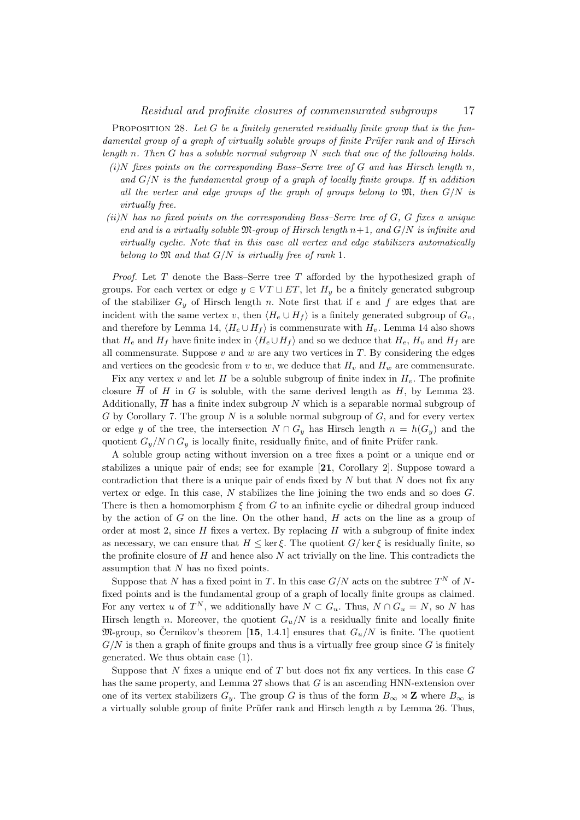PROPOSITION 28. Let  $G$  be a finitely generated residually finite group that is the fundamental group of a graph of virtually soluble groups of finite Prüfer rank and of Hirsch length n. Then  $G$  has a soluble normal subgroup  $N$  such that one of the following holds.

- $(i)$ N fixes points on the corresponding Bass–Serre tree of G and has Hirsch length n, and  $G/N$  is the fundamental group of a graph of locally finite groups. If in addition all the vertex and edge groups of the graph of groups belong to  $\mathfrak{M}$ , then  $G/N$  is virtually free.
- $(iii)$ N has no fixed points on the corresponding Bass–Serre tree of G, G fixes a unique end and is a virtually soluble  $\mathfrak{M}$ -group of Hirsch length  $n+1$ , and  $G/N$  is infinite and virtually cyclic. Note that in this case all vertex and edge stabilizers automatically belong to  $\mathfrak{M}$  and that  $G/N$  is virtually free of rank 1.

*Proof.* Let  $T$  denote the Bass–Serre tree  $T$  afforded by the hypothesized graph of groups. For each vertex or edge  $y \in VT \sqcup ET$ , let  $H_y$  be a finitely generated subgroup of the stabilizer  $G_y$  of Hirsch length n. Note first that if e and f are edges that are incident with the same vertex v, then  $\langle H_e \cup H_f \rangle$  is a finitely generated subgroup of  $G_v$ , and therefore by Lemma 14,  $\langle H_e \cup H_f \rangle$  is commensurate with  $H_v$ . Lemma 14 also shows that  $H_e$  and  $H_f$  have finite index in  $\langle H_e \cup H_f \rangle$  and so we deduce that  $H_e$ ,  $H_v$  and  $H_f$  are all commensurate. Suppose  $v$  and  $w$  are any two vertices in  $T$ . By considering the edges and vertices on the geodesic from v to w, we deduce that  $H_v$  and  $H_w$  are commensurate.

Fix any vertex v and let H be a soluble subgroup of finite index in  $H<sub>v</sub>$ . The profinite closure  $\overline{H}$  of H in G is soluble, with the same derived length as H, by Lemma 23. Additionally,  $\overline{H}$  has a finite index subgroup N which is a separable normal subgroup of G by Corollary 7. The group N is a soluble normal subgroup of  $G$ , and for every vertex or edge y of the tree, the intersection  $N \cap G_y$  has Hirsch length  $n = h(G_y)$  and the quotient  $G_y/N \cap G_y$  is locally finite, residually finite, and of finite Prüfer rank.

A soluble group acting without inversion on a tree fixes a point or a unique end or stabilizes a unique pair of ends; see for example [21, Corollary 2]. Suppose toward a contradiction that there is a unique pair of ends fixed by  $N$  but that  $N$  does not fix any vertex or edge. In this case,  $N$  stabilizes the line joining the two ends and so does  $G$ . There is then a homomorphism  $\xi$  from G to an infinite cyclic or dihedral group induced by the action of  $G$  on the line. On the other hand,  $H$  acts on the line as a group of order at most 2, since  $H$  fixes a vertex. By replacing  $H$  with a subgroup of finite index as necessary, we can ensure that  $H \leq \ker \xi$ . The quotient  $G/\ker \xi$  is residually finite, so the profinite closure of  $H$  and hence also  $N$  act trivially on the line. This contradicts the assumption that N has no fixed points.

Suppose that N has a fixed point in T. In this case  $G/N$  acts on the subtree  $T^N$  of Nfixed points and is the fundamental group of a graph of locally finite groups as claimed. For any vertex u of  $T^N$ , we additionally have  $N \subset G_u$ . Thus,  $N \cap G_u = N$ , so N has Hirsch length n. Moreover, the quotient  $G_u/N$  is a residually finite and locally finite  $\mathfrak{M}$ -group, so Cernikov's theorem [15, 1.4.1] ensures that  $G_u/N$  is finite. The quotient  $G/N$  is then a graph of finite groups and thus is a virtually free group since G is finitely generated. We thus obtain case (1).

Suppose that  $N$  fixes a unique end of  $T$  but does not fix any vertices. In this case  $G$ has the same property, and Lemma 27 shows that G is an ascending HNN-extension over one of its vertex stabilizers  $G_y$ . The group G is thus of the form  $B_{\infty} \rtimes \mathbb{Z}$  where  $B_{\infty}$  is a virtually soluble group of finite Prüfer rank and Hirsch length  $n$  by Lemma 26. Thus,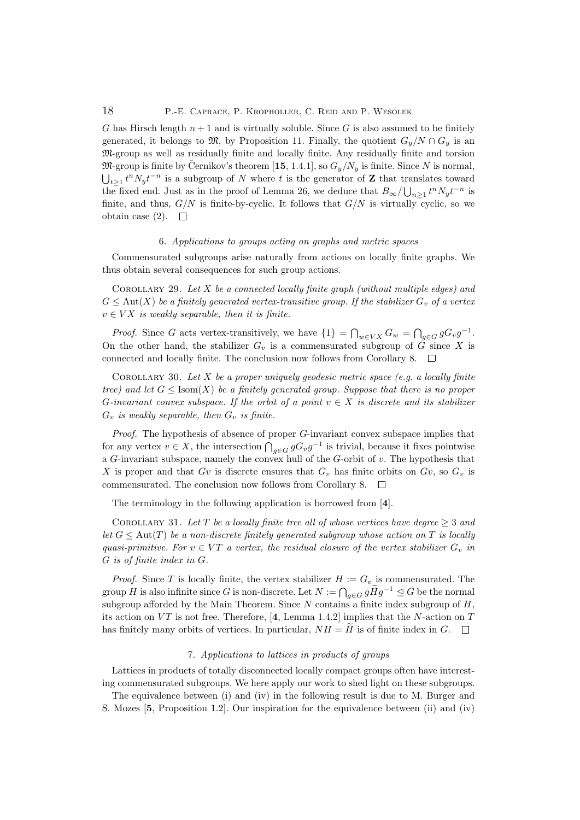G has Hirsch length  $n + 1$  and is virtually soluble. Since G is also assumed to be finitely generated, it belongs to  $\mathfrak{M}$ , by Proposition 11. Finally, the quotient  $G_y/N \cap G_y$  is an M-group as well as residually finite and locally finite. Any residually finite and torsion  $\mathfrak{M}$ -group is finite by Černikov's theorem [15, 1.4.1], so  $G_y/N_y$  is finite. Since N is normal,  $\bigcup_{t\geq 1} t^n N_y t^{-n}$  is a subgroup of N where t is the generator of Z that translates toward the fixed end. Just as in the proof of Lemma 26, we deduce that  $B_{\infty}/\bigcup_{n\geq 1} t^n N_y t^{-n}$  is finite, and thus,  $G/N$  is finite-by-cyclic. It follows that  $G/N$  is virtually cyclic, so we obtain case (2).  $\square$ 

### 6. Applications to groups acting on graphs and metric spaces

Commensurated subgroups arise naturally from actions on locally finite graphs. We thus obtain several consequences for such group actions.

COROLLARY 29. Let X be a connected locally finite graph (without multiple edges) and  $G \leq \text{Aut}(X)$  be a finitely generated vertex-transitive group. If the stabilizer  $G_v$  of a vertex  $v \in VX$  is weakly separable, then it is finite.

*Proof.* Since G acts vertex-transitively, we have  $\{1\} = \bigcap_{w \in VX} G_w = \bigcap_{g \in G} gG_v g^{-1}$ . On the other hand, the stabilizer  $G_v$  is a commensurated subgroup of  $\tilde{G}$  since X is connected and locally finite. The conclusion now follows from Corollary 8.  $\Box$ 

COROLLARY 30. Let  $X$  be a proper uniquely geodesic metric space (e.g. a locally finite tree) and let  $G \leq \text{Isom}(X)$  be a finitely generated group. Suppose that there is no proper G-invariant convex subspace. If the orbit of a point  $v \in X$  is discrete and its stabilizer  $G_v$  is weakly separable, then  $G_v$  is finite.

Proof. The hypothesis of absence of proper G-invariant convex subspace implies that for any vertex  $v \in X$ , the intersection  $\bigcap_{g \in G} g G_v g^{-1}$  is trivial, because it fixes pointwise a  $G$ -invariant subspace, namely the convex hull of the  $G$ -orbit of  $v$ . The hypothesis that X is proper and that Gv is discrete ensures that  $G_v$  has finite orbits on  $G_v$ , so  $G_v$  is commensurated. The conclusion now follows from Corollary 8.  $\Box$ 

The terminology in the following application is borrowed from [4].

COROLLARY 31. Let T be a locally finite tree all of whose vertices have degree  $\geq 3$  and let  $G \leq \text{Aut}(T)$  be a non-discrete finitely generated subgroup whose action on T is locally quasi-primitive. For  $v \in VT$  a vertex, the residual closure of the vertex stabilizer  $G_v$  in G is of finite index in G.

*Proof.* Since T is locally finite, the vertex stabilizer  $H := G_v$  is commensurated. The group H is also infinite since G is non-discrete. Let  $N := \bigcap_{g \in G} g \widetilde{H} g^{-1} \leq G$  be the normal subgroup afforded by the Main Theorem. Since  $N$  contains a finite index subgroup of  $H$ , its action on VT is not free. Therefore, [4, Lemma 1.4.2] implies that the N-action on T has finitely many orbits of vertices. In particular,  $NH = H$  is of finite index in G.  $\Box$ 

### 7. Applications to lattices in products of groups

Lattices in products of totally disconnected locally compact groups often have interesting commensurated subgroups. We here apply our work to shed light on these subgroups.

The equivalence between (i) and (iv) in the following result is due to M. Burger and S. Mozes [5, Proposition 1.2]. Our inspiration for the equivalence between (ii) and (iv)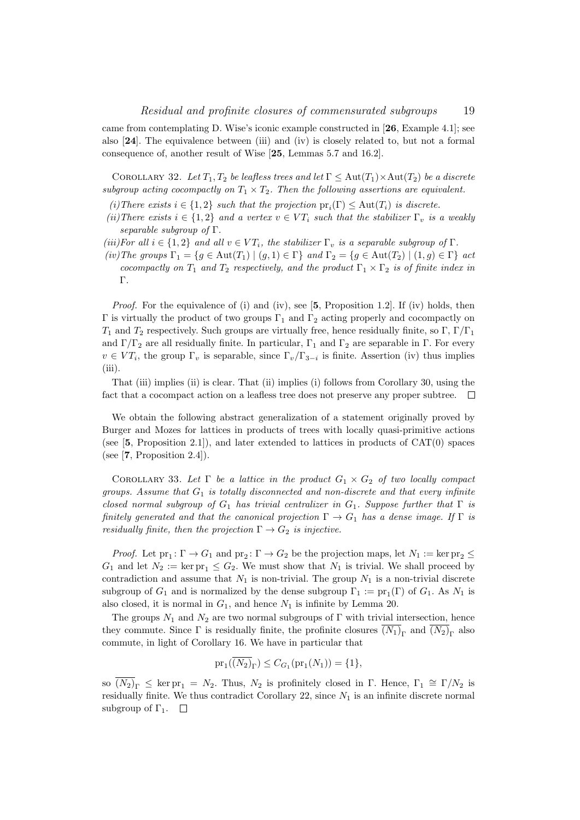came from contemplating D. Wise's iconic example constructed in [26, Example 4.1]; see also [24]. The equivalence between (iii) and (iv) is closely related to, but not a formal consequence of, another result of Wise [25, Lemmas 5.7 and 16.2].

COROLLARY 32. Let  $T_1, T_2$  be leafless trees and let  $\Gamma \leq \text{Aut}(T_1) \times \text{Aut}(T_2)$  be a discrete subgroup acting cocompactly on  $T_1 \times T_2$ . Then the following assertions are equivalent.

- (i)There exists  $i \in \{1,2\}$  such that the projection  $pr_i(\Gamma) \leq Aut(T_i)$  is discrete.
- (ii) There exists  $i \in \{1,2\}$  and a vertex  $v \in VT_i$  such that the stabilizer  $\Gamma_v$  is a weakly separable subgroup of Γ.
- (iii)For all  $i \in \{1,2\}$  and all  $v \in VT_i$ , the stabilizer  $\Gamma_v$  is a separable subgroup of  $\Gamma$ .
- (iv)The groups  $\Gamma_1 = \{g \in \text{Aut}(T_1) \mid (g, 1) \in \Gamma\}$  and  $\Gamma_2 = \{g \in \text{Aut}(T_2) \mid (1, g) \in \Gamma\}$  act cocompactly on  $T_1$  and  $T_2$  respectively, and the product  $\Gamma_1 \times \Gamma_2$  is of finite index in Γ.

*Proof.* For the equivalence of (i) and (iv), see  $[5,$  Proposition 1.2. If (iv) holds, then Γ is virtually the product of two groups  $Γ_1$  and  $Γ_2$  acting properly and cocompactly on  $T_1$  and  $T_2$  respectively. Such groups are virtually free, hence residually finite, so Γ, Γ/Γ<sub>1</sub> and  $\Gamma/\Gamma_2$  are all residually finite. In particular,  $\Gamma_1$  and  $\Gamma_2$  are separable in  $\Gamma$ . For every  $v \in VT_i$ , the group  $\Gamma_v$  is separable, since  $\Gamma_v/\Gamma_{3-i}$  is finite. Assertion (iv) thus implies  $(iii)$ .

That (iii) implies (ii) is clear. That (ii) implies (i) follows from Corollary 30, using the fact that a cocompact action on a leafless tree does not preserve any proper subtree.  $\Box$ 

We obtain the following abstract generalization of a statement originally proved by Burger and Mozes for lattices in products of trees with locally quasi-primitive actions (see  $[5,$  Proposition 2.1]), and later extended to lattices in products of  $CAT(0)$  spaces (see  $[7,$  Proposition 2.4]).

COROLLARY 33. Let  $\Gamma$  be a lattice in the product  $G_1 \times G_2$  of two locally compact groups. Assume that  $G_1$  is totally disconnected and non-discrete and that every infinite closed normal subgroup of  $G_1$  has trivial centralizer in  $G_1$ . Suppose further that  $\Gamma$  is finitely generated and that the canonical projection  $\Gamma \to G_1$  has a dense image. If  $\Gamma$  is residually finite, then the projection  $\Gamma \to G_2$  is injective.

*Proof.* Let  $pr_1: \Gamma \to G_1$  and  $pr_2: \Gamma \to G_2$  be the projection maps, let  $N_1 := \ker pr_2 \leq$  $G_1$  and let  $N_2 := \ker \text{pr}_1 \leq G_2$ . We must show that  $N_1$  is trivial. We shall proceed by contradiction and assume that  $N_1$  is non-trivial. The group  $N_1$  is a non-trivial discrete subgroup of  $G_1$  and is normalized by the dense subgroup  $\Gamma_1 := \text{pr}_1(\Gamma)$  of  $G_1$ . As  $N_1$  is also closed, it is normal in  $G_1$ , and hence  $N_1$  is infinite by Lemma 20.

The groups  $N_1$  and  $N_2$  are two normal subgroups of  $\Gamma$  with trivial intersection, hence they commute. Since  $\Gamma$  is residually finite, the profinite closures  $(N_1)_{\Gamma}$  and  $(N_2)_{\Gamma}$  also commute, in light of Corollary 16. We have in particular that

$$
pr_1(\overline{(N_2)}_{\Gamma}) \le C_{G_1}(pr_1(N_1)) = \{1\},\
$$

so  $\overline{(N_2)}_{\Gamma} \leq \ker \mathrm{pr}_1 = N_2$ . Thus,  $N_2$  is profinitely closed in  $\Gamma$ . Hence,  $\Gamma_1 \cong \Gamma/N_2$  is residually finite. We thus contradict Corollary 22, since  $N_1$  is an infinite discrete normal subgroup of  $\Gamma_1$ .  $\Box$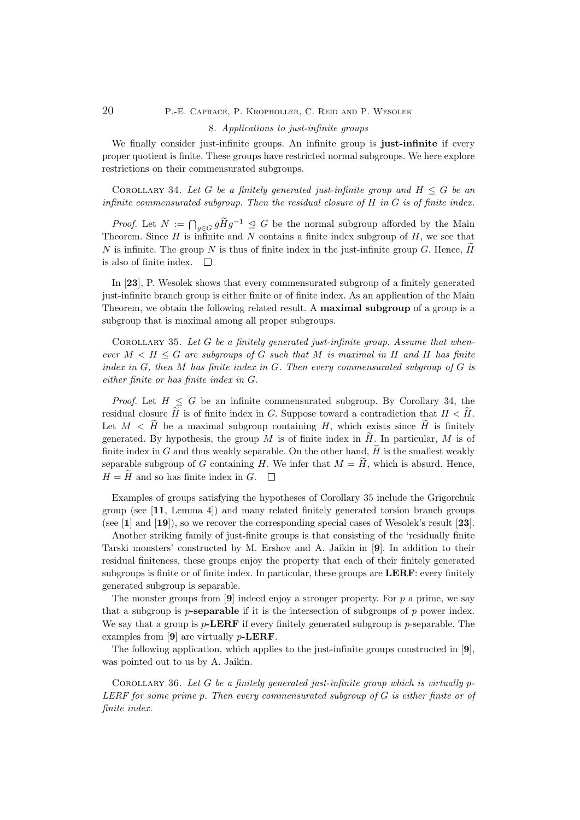## 20 P.-E. Caprace, P. Kropholler, C. Reid and P. Wesolek

### 8. Applications to just-infinite groups

We finally consider just-infinite groups. An infinite group is just-infinite if every proper quotient is finite. These groups have restricted normal subgroups. We here explore restrictions on their commensurated subgroups.

COROLLARY 34. Let G be a finitely generated just-infinite group and  $H \leq G$  be an infinite commensurated subgroup. Then the residual closure of  $H$  in  $G$  is of finite index.

*Proof.* Let  $N := \bigcap_{g \in G} g \widetilde{H} g^{-1} \leq G$  be the normal subgroup afforded by the Main Theorem. Since  $H$  is infinite and  $N$  contains a finite index subgroup of  $H$ , we see that N is infinite. The group N is thus of finite index in the just-infinite group G. Hence,  $\hat{H}$ is also of finite index.  $\square$ 

In [23], P. Wesolek shows that every commensurated subgroup of a finitely generated just-infinite branch group is either finite or of finite index. As an application of the Main Theorem, we obtain the following related result. A maximal subgroup of a group is a subgroup that is maximal among all proper subgroups.

COROLLARY 35. Let  $G$  be a finitely generated just-infinite group. Assume that whenever  $M < H \leq G$  are subgroups of G such that M is maximal in H and H has finite index in  $G$ , then  $M$  has finite index in  $G$ . Then every commensurated subgroup of  $G$  is either finite or has finite index in G.

*Proof.* Let  $H \leq G$  be an infinite commensurated subgroup. By Corollary 34, the residual closure  $\widetilde{H}$  is of finite index in G. Suppose toward a contradiction that  $H < \widetilde{H}$ . Let  $M < H$  be a maximal subgroup containing H, which exists since  $H$  is finitely generated. By hypothesis, the group M is of finite index in  $H$ . In particular, M is of finite index in G and thus weakly separable. On the other hand,  $\tilde{H}$  is the smallest weakly separable subgroup of G containing H. We infer that  $M = \widetilde{H}$ , which is absurd. Hence,  $H = \tilde{H}$  and so has finite index in G.  $\Box$ 

Examples of groups satisfying the hypotheses of Corollary 35 include the Grigorchuk group (see [11, Lemma 4]) and many related finitely generated torsion branch groups (see [1] and [19]), so we recover the corresponding special cases of Wesolek's result [23].

Another striking family of just-finite groups is that consisting of the 'residually finite Tarski monsters' constructed by M. Ershov and A. Jaikin in [9]. In addition to their residual finiteness, these groups enjoy the property that each of their finitely generated subgroups is finite or of finite index. In particular, these groups are LERF: every finitely generated subgroup is separable.

The monster groups from  $[9]$  indeed enjoy a stronger property. For p a prime, we say that a subgroup is  $p$ -separable if it is the intersection of subgroups of  $p$  power index. We say that a group is  $p$ -LERF if every finitely generated subgroup is p-separable. The examples from [9] are virtually p-LERF.

The following application, which applies to the just-infinite groups constructed in [9], was pointed out to us by A. Jaikin.

COROLLARY 36. Let G be a finitely generated just-infinite group which is virtually  $p$ -LERF for some prime p. Then every commensurated subgroup of G is either finite or of finite index.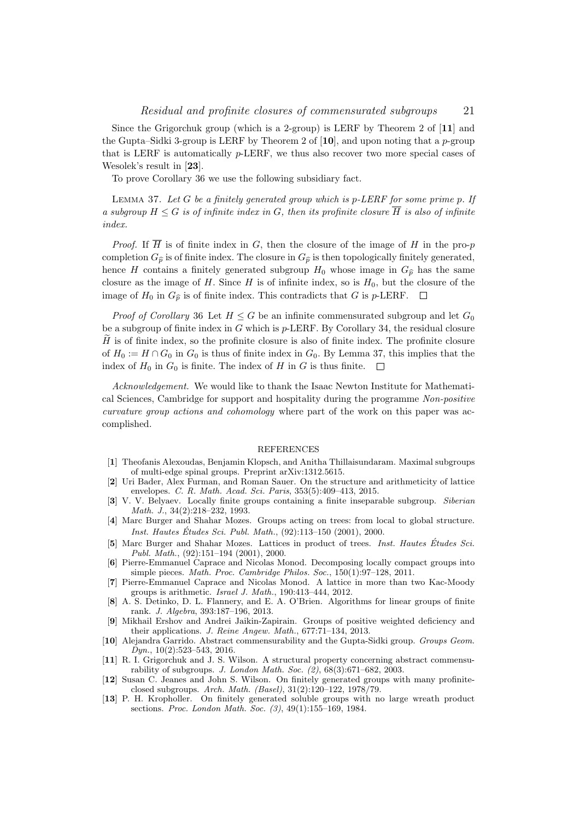Since the Grigorchuk group (which is a 2-group) is LERF by Theorem 2 of [11] and the Gupta–Sidki 3-group is LERF by Theorem 2 of  $[10]$ , and upon noting that a p-group that is LERF is automatically p-LERF, we thus also recover two more special cases of Wesolek's result in [23].

To prove Corollary 36 we use the following subsidiary fact.

LEMMA 37. Let  $G$  be a finitely generated group which is  $p$ -LERF for some prime  $p$ . If a subgroup  $H \leq G$  is of infinite index in G, then its profinite closure  $\overline{H}$  is also of infinite index.

*Proof.* If  $\overline{H}$  is of finite index in G, then the closure of the image of H in the pro-p completion  $G_{\hat{p}}$  is of finite index. The closure in  $G_{\hat{p}}$  is then topologically finitely generated, hence H contains a finitely generated subgroup  $H_0$  whose image in  $G_{\hat{p}}$  has the same closure as the image of H. Since H is of infinite index, so is  $H_0$ , but the closure of the image of  $H_0$  in  $G_{\hat{p}}$  is of finite index. This contradicts that G is p-LERF.  $\Box$ 

*Proof of Corollary* 36 Let  $H \leq G$  be an infinite commensurated subgroup and let  $G_0$ be a subgroup of finite index in G which is  $p$ -LERF. By Corollary 34, the residual closure  $H$  is of finite index, so the profinite closure is also of finite index. The profinite closure of  $H_0 := H \cap G_0$  in  $G_0$  is thus of finite index in  $G_0$ . By Lemma 37, this implies that the index of  $H_0$  in  $G_0$  is finite. The index of H in G is thus finite.  $\square$ 

Acknowledgement. We would like to thank the Isaac Newton Institute for Mathematical Sciences, Cambridge for support and hospitality during the programme Non-positive curvature group actions and cohomology where part of the work on this paper was accomplished.

#### REFERENCES

- [1] Theofanis Alexoudas, Benjamin Klopsch, and Anitha Thillaisundaram. Maximal subgroups of multi-edge spinal groups. Preprint arXiv:1312.5615.
- [2] Uri Bader, Alex Furman, and Roman Sauer. On the structure and arithmeticity of lattice envelopes. C. R. Math. Acad. Sci. Paris, 353(5):409–413, 2015.
- [3] V. V. Belyaev. Locally finite groups containing a finite inseparable subgroup. Siberian Math. J., 34(2):218–232, 1993.
- [4] Marc Burger and Shahar Mozes. Groups acting on trees: from local to global structure. *Inst. Hautes Études Sci. Publ. Math.*,  $(92):113-150$   $(2001)$ , 2000.
- [5] Marc Burger and Shahar Mozes. Lattices in product of trees. *Inst. Hautes Études Sci.* Publ. Math., (92):151–194 (2001), 2000.
- [6] Pierre-Emmanuel Caprace and Nicolas Monod. Decomposing locally compact groups into simple pieces. Math. Proc. Cambridge Philos. Soc., 150(1):97–128, 2011.
- [7] Pierre-Emmanuel Caprace and Nicolas Monod. A lattice in more than two Kac-Moody groups is arithmetic. Israel J. Math., 190:413–444, 2012.
- [8] A. S. Detinko, D. L. Flannery, and E. A. O'Brien. Algorithms for linear groups of finite rank. J. Algebra, 393:187–196, 2013.
- [9] Mikhail Ershov and Andrei Jaikin-Zapirain. Groups of positive weighted deficiency and their applications. J. Reine Angew. Math., 677:71–134, 2013.
- [10] Alejandra Garrido. Abstract commensurability and the Gupta-Sidki group. Groups Geom.  $Dyn., 10(2):523-543, 2016.$
- [11] R. I. Grigorchuk and J. S. Wilson. A structural property concerning abstract commensurability of subgroups. J. London Math. Soc.  $(\overline{2})$ ,  $\overline{68}(3)$ :671–682, 2003.
- [12] Susan C. Jeanes and John S. Wilson. On finitely generated groups with many profiniteclosed subgroups. Arch. Math. (Basel), 31(2):120–122, 1978/79.
- [13] P. H. Kropholler. On finitely generated soluble groups with no large wreath product sections. Proc. London Math. Soc. (3), 49(1):155-169, 1984.